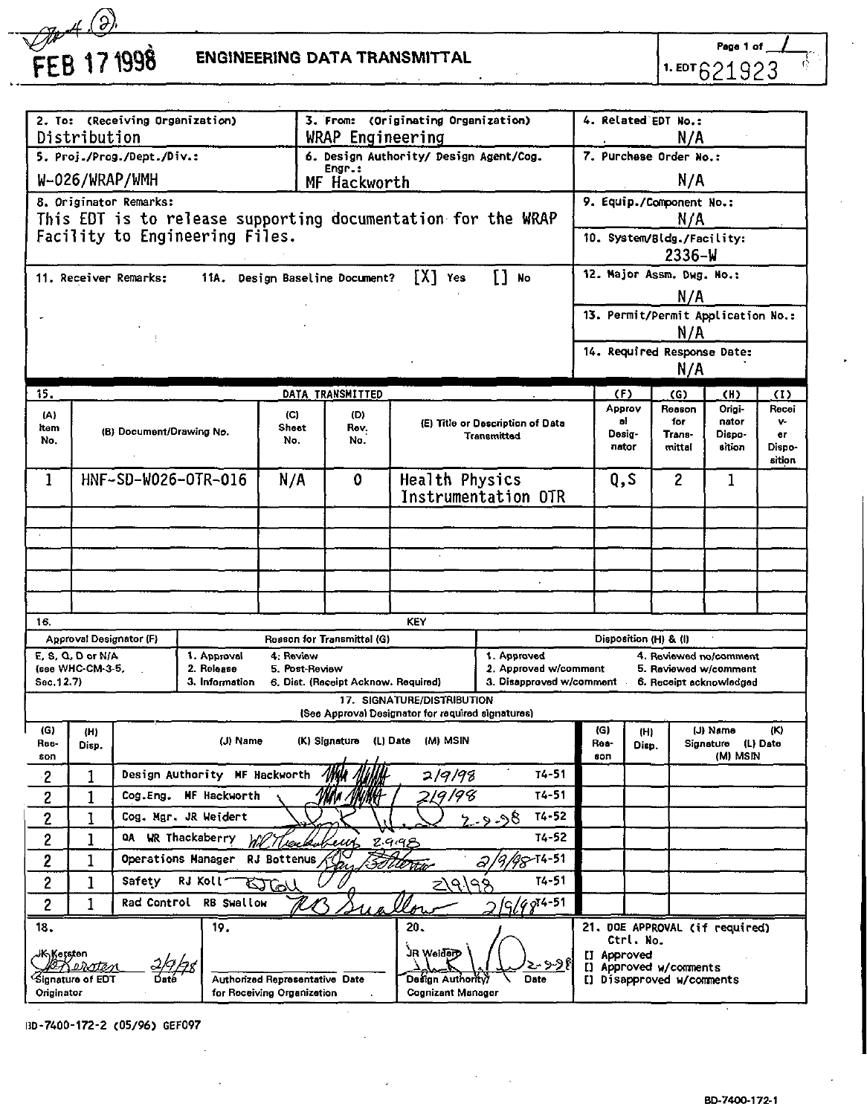# **PF A 2**<br>FEB 17 1998 ENGINEERING DATA TRANSMITTAL

Page  $1.$  EDT $621923$ 

종

| 2. To: (Receiving Organization)            |                                                                 |                                           |                           |                                        | 3. From: (Originating Organization)<br>WRAP Engineering |                                                              |                                      | 4. Related EDT No.:<br>N/A                      |                       |                                   |                                    |                       |
|--------------------------------------------|-----------------------------------------------------------------|-------------------------------------------|---------------------------|----------------------------------------|---------------------------------------------------------|--------------------------------------------------------------|--------------------------------------|-------------------------------------------------|-----------------------|-----------------------------------|------------------------------------|-----------------------|
| Distribution<br>5. Proj./Prog./Dept./Div.: |                                                                 |                                           |                           | 6. Design Authority/ Design Agent/Cog. |                                                         |                                                              | 7. Purchase Order No.:               |                                                 |                       |                                   |                                    |                       |
| Engr.:<br>W-026/WRAP/WMH                   |                                                                 |                                           |                           |                                        |                                                         |                                                              |                                      |                                                 |                       |                                   |                                    |                       |
|                                            |                                                                 |                                           |                           |                                        | MF Hackworth                                            |                                                              |                                      | N/A                                             |                       |                                   |                                    |                       |
|                                            |                                                                 | 8. Originator Remarks:                    |                           |                                        |                                                         | This EDT is to release supporting documentation for the WRAP |                                      |                                                 |                       | 9. Equip./Component No.:          |                                    |                       |
|                                            |                                                                 | Facility to Engineering Files.            |                           |                                        |                                                         |                                                              |                                      |                                                 |                       | N/A<br>10. System/Bldg./Facility: |                                    |                       |
|                                            |                                                                 |                                           |                           |                                        |                                                         |                                                              |                                      |                                                 |                       | 2336-W                            |                                    |                       |
|                                            |                                                                 | 11. Receiver Remarks:                     |                           |                                        | 11A. Design Baseline Document?                          | IXI Yes                                                      | n<br>No                              |                                                 |                       | 12. Major Assm. Dwg. No.:         |                                    |                       |
|                                            |                                                                 |                                           |                           |                                        |                                                         |                                                              |                                      |                                                 |                       | N/A                               |                                    |                       |
|                                            |                                                                 |                                           |                           |                                        |                                                         |                                                              |                                      |                                                 |                       |                                   | 13. Permit/Permit Application No.: |                       |
|                                            |                                                                 |                                           |                           |                                        |                                                         |                                                              |                                      |                                                 |                       | N/A                               |                                    |                       |
|                                            |                                                                 |                                           |                           |                                        |                                                         |                                                              |                                      |                                                 |                       | 14. Required Response Date:       |                                    |                       |
|                                            |                                                                 |                                           |                           |                                        |                                                         |                                                              |                                      |                                                 |                       | N/A                               |                                    |                       |
| 15.                                        |                                                                 |                                           |                           |                                        | DATA TRANSMITTED                                        |                                                              |                                      | (F)                                             |                       | (G)                               | (H)                                | $\langle I \rangle$   |
| (A)                                        |                                                                 |                                           |                           | (C)                                    | (D)                                                     |                                                              | (E) Title or Description of Data     |                                                 | Approv<br>a1          | Reason<br>for                     | Origi-<br>nator                    | Recei<br>$\mathbf{v}$ |
| Item<br>No.                                |                                                                 | (B) Document/Drawing No.                  |                           | Sheet<br>No.                           | Rev.<br>No.                                             |                                                              | <b>Transmitted</b>                   | Desig-                                          |                       | Trans-                            | Dispo-                             | er                    |
|                                            |                                                                 |                                           |                           |                                        |                                                         |                                                              |                                      |                                                 | nator                 | mittal                            | sition                             | Dispo-<br>sition      |
| 1                                          |                                                                 | HNF-SD-W026-OTR-016                       |                           | N/A                                    | ٥                                                       | Health Physics                                               |                                      | Q.S                                             |                       | 2                                 | 1                                  |                       |
|                                            |                                                                 |                                           |                           |                                        |                                                         |                                                              | Instrumentation OTR                  |                                                 |                       |                                   |                                    |                       |
|                                            |                                                                 |                                           |                           |                                        |                                                         |                                                              |                                      |                                                 |                       |                                   |                                    |                       |
|                                            |                                                                 |                                           |                           |                                        |                                                         |                                                              |                                      |                                                 |                       |                                   |                                    |                       |
|                                            |                                                                 |                                           |                           |                                        |                                                         |                                                              |                                      |                                                 |                       |                                   |                                    |                       |
|                                            |                                                                 |                                           |                           |                                        |                                                         |                                                              | à.                                   |                                                 |                       |                                   |                                    |                       |
|                                            |                                                                 |                                           |                           |                                        |                                                         |                                                              |                                      |                                                 |                       |                                   |                                    |                       |
| 16.                                        |                                                                 |                                           |                           |                                        |                                                         | KEY                                                          |                                      |                                                 |                       |                                   |                                    |                       |
|                                            |                                                                 | Approval Designator (F)                   |                           |                                        | Reason for Transmittal (G)                              |                                                              |                                      |                                                 |                       | Disposition (H) & (I)             |                                    |                       |
|                                            | E, S, Q, D or N/A<br>(see WHC-CM-3-5,                           |                                           | 1. Approval<br>2. Release | 4. Review<br>5. Post-Review            |                                                         |                                                              | 1. Approved<br>2. Approved w/comment | 4. Reviewed no/comment<br>5. Reviewed w/comment |                       |                                   |                                    |                       |
| Sec. 12.7)                                 |                                                                 |                                           | 3. Information            |                                        | 6. Dist. (Receipt Acknow. Required)                     |                                                              | 3. Disapproved w/comment             |                                                 |                       |                                   | 6. Receipt acknowledged            |                       |
|                                            |                                                                 |                                           |                           |                                        |                                                         | 17. SIGNATURE/DISTRIBUTION                                   |                                      |                                                 |                       |                                   |                                    |                       |
| (G)                                        | (H)                                                             |                                           |                           |                                        |                                                         | (See Approval Designator for required signatures)            |                                      | (G)                                             | (H)                   |                                   | (J) Name                           | (K)                   |
| Ree-                                       | Disp.                                                           |                                           | (J) Name                  |                                        | (K) Signature                                           | (L) Date (M) MSIN                                            |                                      | Res-                                            | Disp.                 |                                   | Signature (L) Date                 |                       |
| son                                        |                                                                 |                                           |                           |                                        |                                                         |                                                              | $T4 - 51$                            | son                                             |                       |                                   | (M) MSIN                           |                       |
| 2                                          | 1                                                               | Design Authority MF Hackworth             |                           |                                        |                                                         | 2/9/98                                                       | $T4 - 51$                            |                                                 |                       |                                   |                                    |                       |
| 2                                          | 1                                                               | Cog.Eng.                                  | MF Hackworth              |                                        |                                                         | 19/98                                                        |                                      |                                                 |                       |                                   |                                    |                       |
| 2                                          | 1                                                               | Cog. Mgr. JR Weidert                      |                           |                                        |                                                         |                                                              | $T4 - 52$<br>9د۔ و۔                  |                                                 |                       |                                   |                                    |                       |
| $\overline{c}$                             |                                                                 | T4-52<br>QA WR Thackaberry<br>1<br>2.9.99 |                           |                                        |                                                         |                                                              |                                      |                                                 |                       |                                   |                                    |                       |
| 2                                          | $88 - 14 - 51$<br>1<br>Operations Manager<br><b>RJ Bottenus</b> |                                           |                           |                                        |                                                         |                                                              |                                      |                                                 |                       |                                   |                                    |                       |
| $\overline{c}$                             | ı                                                               | Safety                                    | RJ Koll-                  | ستلحكا                                 |                                                         | {م∖ح                                                         | $T4 - 51$<br>$\sim$                  |                                                 |                       |                                   |                                    |                       |
| $\overline{c}$                             | 1                                                               | Rad Control                               | <b>RB</b> Swallow         |                                        |                                                         |                                                              | G/G974-51                            |                                                 |                       |                                   |                                    |                       |
| 18.                                        |                                                                 |                                           | 19.                       |                                        |                                                         | 20.                                                          |                                      |                                                 |                       |                                   | 21. DOE APPROVAL (if required)     |                       |
| <b>JK Kersten</b>                          |                                                                 |                                           |                           |                                        |                                                         | JR Weiderp                                                   |                                      | IJ                                              | Ctrl. No.<br>Approved |                                   |                                    |                       |
|                                            | Frenate<br>Signature of EDT                                     |                                           |                           | Authorized Representative Date         |                                                         | Design Authority)                                            | ઝ્ઝ€<br>Date                         |                                                 |                       | I] Approved w/comments            |                                    |                       |
| Originator                                 |                                                                 |                                           |                           | for Receiving Organization             |                                                         | <b>Cognizant Manager</b>                                     |                                      |                                                 |                       | [] Disapproved w/comments         |                                    |                       |

UD-7400-172-2 (05/96) GEF097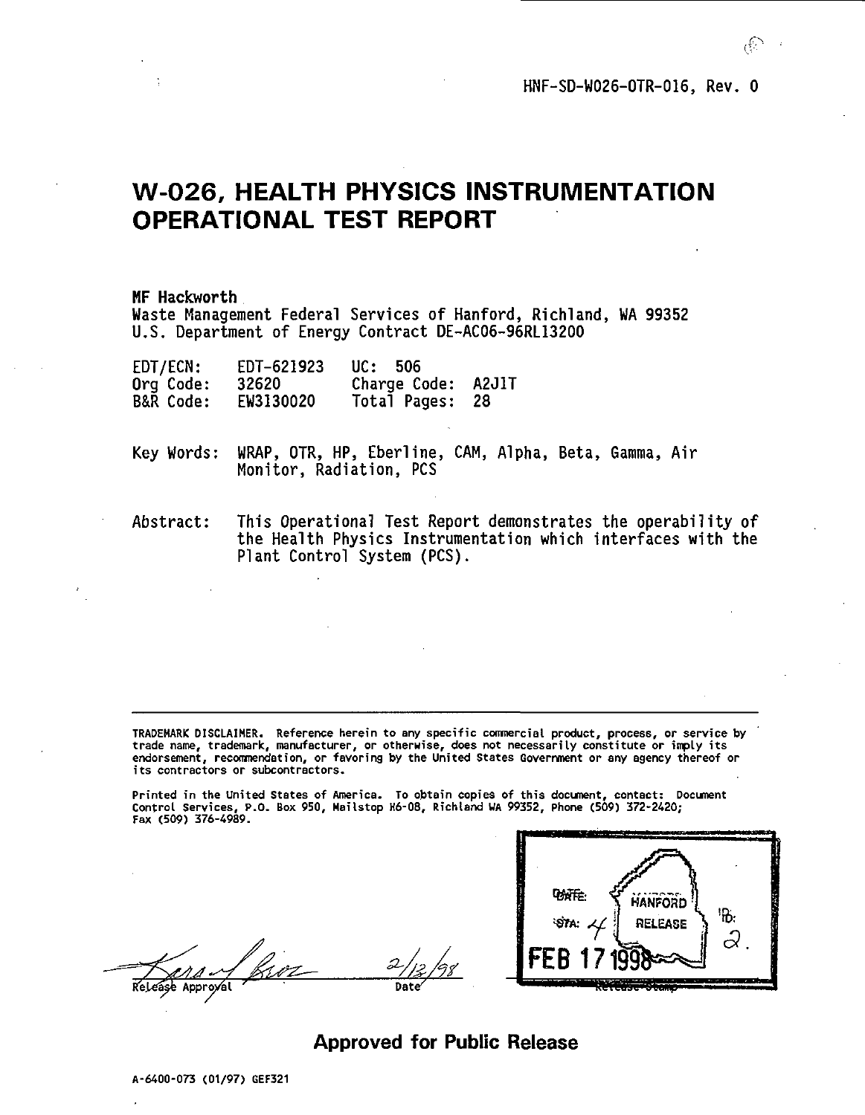**HNF-SD-W026-OTR-016, Rev. 0**

### **W-026, HEALTH PHYSICS INSTRUMENTATION OPERATIONAL TEST REPORT**

**MF Hackworth Waste Management Federal Services of Hanford, Richland, WA 99352 U.S. Department of Energy Contract DE-AC06-96RL13200**

| EDT/ECN:             | EDT-621923 | UC: 506            |     |
|----------------------|------------|--------------------|-----|
| Org Code:            | 32620      | Charge Code: A2J1T |     |
| <b>B&amp;R Code:</b> | EW3130020  | Total Pages:       | -28 |

**Key Words: WRAP, OTR, HP, Eberline, CAM, Alpha, Beta, Gamma, Air Monitor, Radiation, PCS**

**Abstract: This Operational Test Report demonstrates the operability of the Health Physics Instrumentation which interfaces with the Plant Control System (PCS).**

**TRADEMARK DISCLAIMER. Reference herein to any specific commercial product, process, or service by trade name, trademark, manufacturer, or otherwise, does not necessarily constitute or imply its endorsement, recomnendation, or favoring by the United States Government or any agency thereof or its contractors or subcontractors.**

**Printed in the United States of America. To obtain copies of this document, contact: Document Control Services, P.O. Box 950, Hailstop H6-08, Rich(and UA 99352, Phone (509) 372-2420; Fax (509) 376-4989.**

**Approyal '**



**Approved for Public Release**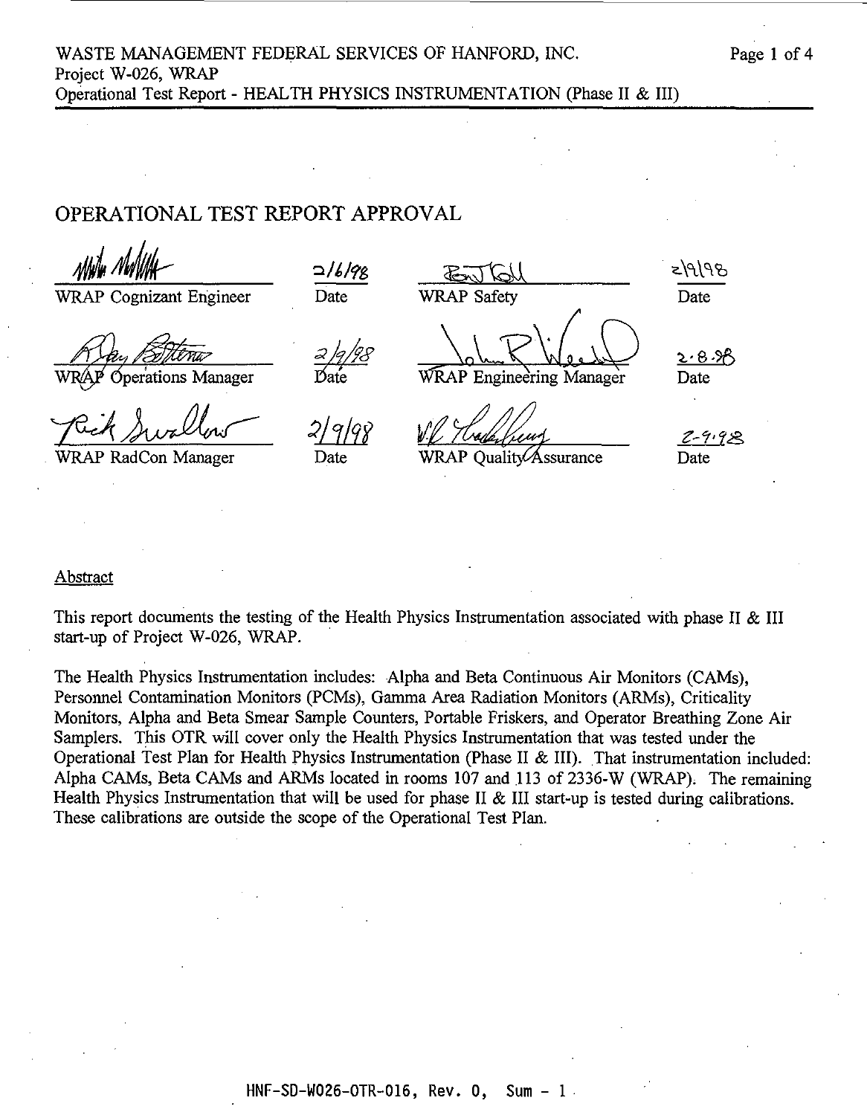### OPERATIONAL TEST REPORT APPROVAL

76/6/5 WRAP Cognizant Engineer Date WRAP Safety Date 20B.XB perations Manager Date WRAP Engineering Manager Date 2-9.92 WRAP RadCon Manager Date WRAP Quality Assurance Date

### Abstract

This report documents the testing of the Health Physics Instrumentation associated with phase II & III start-up of Project W-026, WRAP.

The Health Physics Instrumentation includes: Alpha and Beta Continuous Air Monitors (CAMs), Personnel Contamination Monitors (PCMs), Gamma Area Radiation Monitors (ARMs), Criticality Monitors, Alpha and Beta Smear Sample Counters, Portable Friskers, and Operator Breathing Zone Air Samplers. This OTR will cover only the Health Physics Instrumentation that was tested under the Operational Test Plan for Health Physics Instrumentation (Phase II & III). That instrumentation included: Alpha CAMs, Beta CAMs and ARMs located in rooms 107 and 113 of 2336-W (WRAP). The remaining Health Physics Instrumentation that will be used for phase II & III start-up is tested during calibrations. These calibrations are outside the scope of the Operational Test Plan.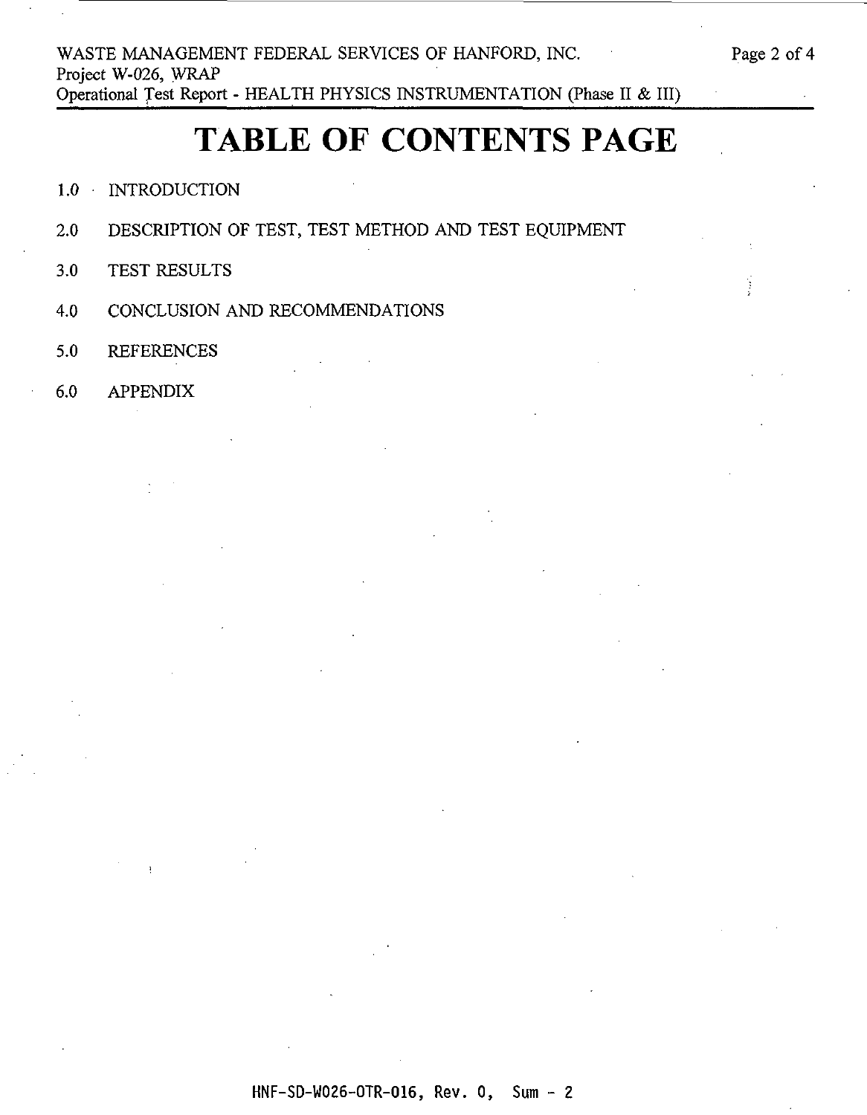### **TABLE OF CONTENTS PAGE**

- 1.0 **INTRODUCTION**
- 2.0 DESCRIPTION OF TEST, TEST METHOD AND TEST EQUIPMENT
- 3.0 TEST RESULTS
- 4.0 CONCLUSION AND RECOMMENDATIONS
- 5.0 REFERENCES
- 6.0 APPENDIX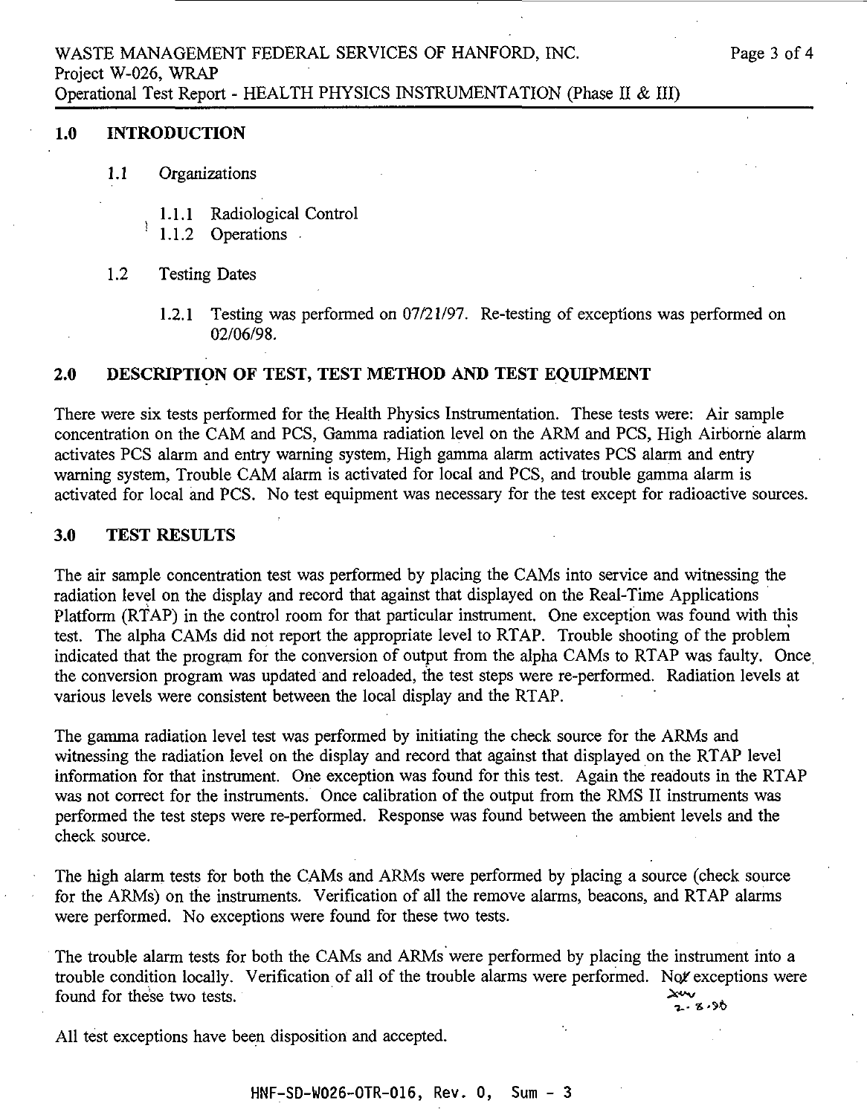### **1.0 INTRODUCTION**

Y.

- **1.1** Organizations
	- 1.1.1 Radiological Control
	- 1.1.2 Operations
- 1.2 Testing Dates
	- 1.2.1 Testing was performed on 07/21/97. Re-testing of exceptions was performed on 02/06/98.

### **2.0 DESCRIPTION OF TEST, TEST METHOD AND TEST EQUIPMENT**

There were six tests performed for the Health Physics Instrumentation. These tests were: Air sample concentration on the CAM and PCS, Gamma radiation level on the ARM and PCS, High Airborne alarm activates PCS alarm and entry warning system, High gamma alarm activates PCS alarm and entry warning system, Trouble CAM alarm is activated for local and PCS, and trouble gamma alarm is activated for local and PCS. No test equipment was necessary for the test except for radioactive sources.

### **3.0 TEST RESULTS**

The air sample concentration test was performed by placing the CAMs into service and witnessing the radiation level on the display and record that against that displayed on the Real-Time Applications Platform (RTAP) in the control room for that particular instrument. One exception was found with this test. The alpha CAMs did not report the appropriate level to RTAP. Trouble shooting of the problem indicated that the program for the conversion of output from the alpha CAMs to RTAP was faulty. Once, the conversion program was updated and reloaded, the test steps were re-performed. Radiation levels at various levels were consistent between the local display and the RTAP.

The gamma radiation level test was performed by initiating the check source for the ARMs and witnessing the radiation level on the display and record that against that displayed on the RTAP level information for that instrument. One exception was found for this test. Again the readouts in the RTAP was not correct for the instruments. Once calibration of the output from the RMS II instruments was performed the test steps were re-performed. Response was found between the ambient levels and the check source.

The high alarm tests for both the CAMs and ARMs were performed by placing a source (check source for the ARMs) on the instruments. Verification of all the remove alarms, beacons, and RTAP alarms were performed. No exceptions were found for these two tests.

The trouble alarm tests for both the CAMs and ARMs were performed by placing the instrument into a trouble condition locally. Verification of all of the trouble alarms were performed. Not exceptions were found for these two tests.  $\frac{1}{2}$   $\frac{1}{2}$   $\frac{1}{2}$   $\frac{1}{2}$   $\frac{1}{2}$   $\frac{1}{2}$   $\frac{1}{2}$   $\frac{1}{2}$   $\frac{1}{2}$   $\frac{1}{2}$   $\frac{1}{2}$   $\frac{1}{2}$   $\frac{1}{2}$   $\frac{1}{2}$   $\frac{1}{2}$   $\frac{1}{2}$   $\frac{1}{2}$   $\frac{1}{2}$   $\frac{1}{2}$   $\frac{1}{2}$   $\frac{1}{2}$   $\frac{1}{2}$   $\frac{\lambda_{44}}{2.8.80}$ 

All test exceptions have been disposition and accepted.

HNF-SD-W026-OTR-016, Rev. 0, Sum - 3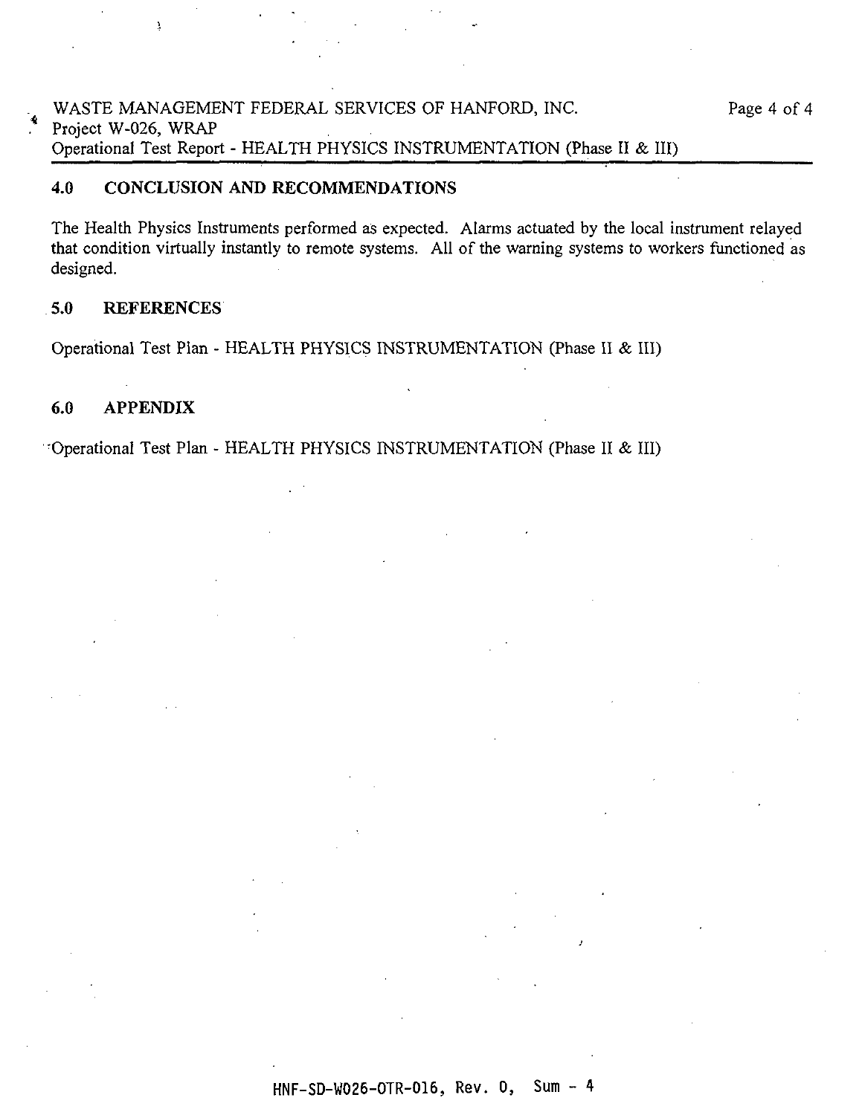### WASTE MANAGEMENT FEDERAL SERVICES OF HANFORD, INC. Page 4 of 4 Project W-026, WRAP Operational Test Report - HEALTH PHYSICS INSTRUMENTATION (Phase II & III)

### **4.0 CONCLUSION AND RECOMMENDATIONS**

The Health Physics Instruments performed as expected. Alarms actuated by the local instrument relayed that condition virtually instantly to remote systems. All of the warning systems to workers functioned as designed.

### 5.0 **REFERENCES**

 $\lambda$ 

Operational Test Plan - HEALTH PHYSICS INSTRUMENTATION (Phase II & III)

### **6.0 APPENDIX**

-Operational Test Plan - HEALTH PHYSICS INSTRUMENTATION (Phase II & III)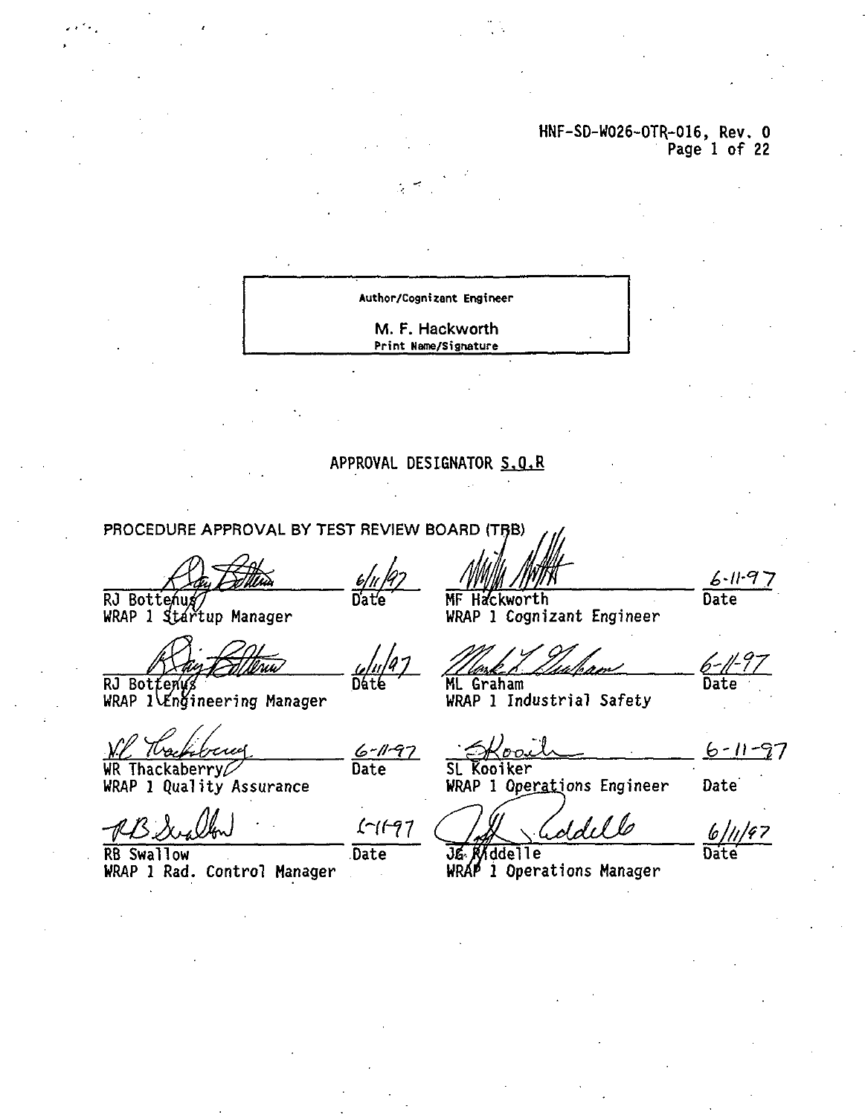### HNF-SD-W026-OTR.-016, Rev. 0 Page 1 of 22

**Author/Cognizant Engineer**

M. F. Hackworth **Print Uame/signature**

### APPROVAL DESIGNATOR S.Q.R

6-11-97<br>Date

 $1 - 11 - 97$ 

Date

PROCEDURE APPROVAL BY TEST REVIEW BOARD (TRB)

RJ Bottenu#/<br>WRAP 1 Startup Manager

**Dáté** 

RJ Botťeny⁄s WRAP l $\verb|WRAP|$ 

**WR Thackaberry^ WRAP 1 Quality Assurance**

**RB Swallow Date OfrlWddelle Date WRAP 1 Rad. Control Manager WRAP 1 Operations Manager**

 $6 - 11 - 97$ Date

MF Hackworth WRAP 1 Cognizant Engineer

 $6 - 1 - 97$ <br>Date

**ML Graham WRAP 1 Industrial Safety**

 $6 - 11 - 97$ 

SL Kooiker WRAP 1 Operations Engineer Date

 $6/1/67$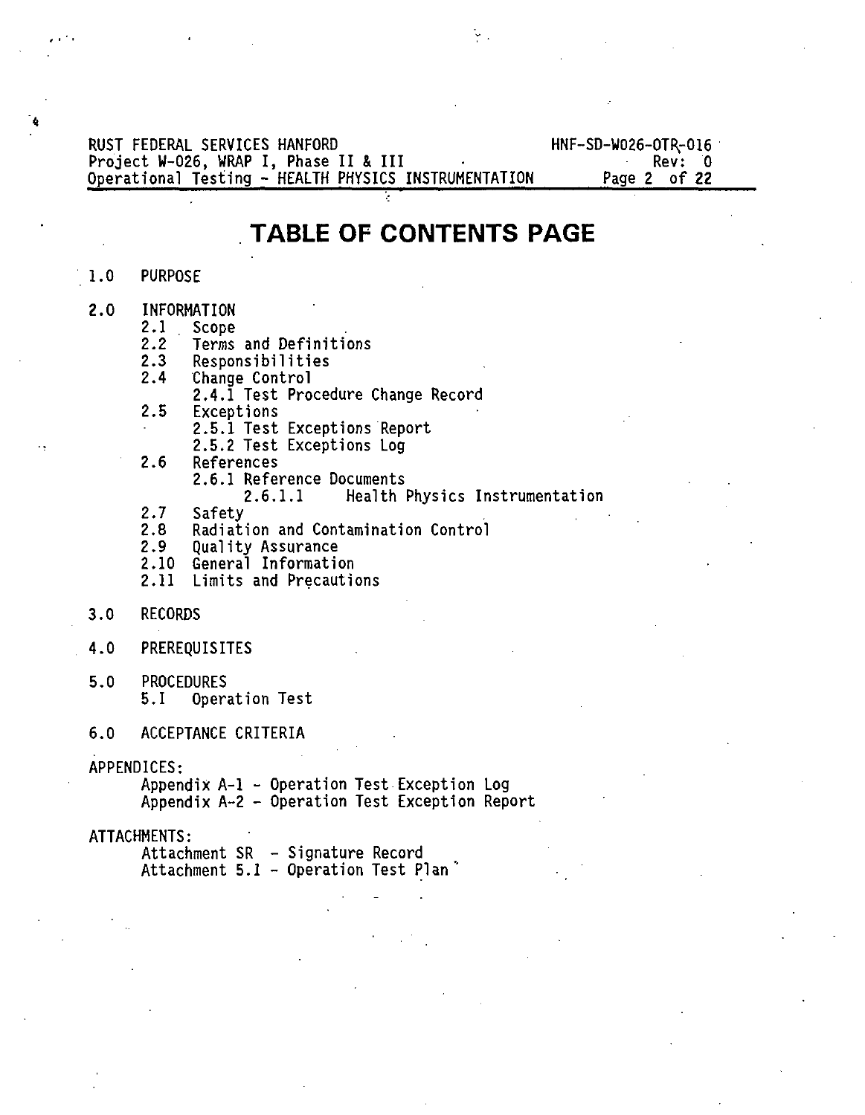**RUST FEDERAL SERVICES HANFORD HNF-SD-W026-0TR.-016** Project W-026, WRAP I, Phase II & III<br>Operational Testing - HEALTH PHYSICS INSTRUMENTATION Page 2 of 22 **Operational Testing - HEALTH PHYSICS INSTRUMENTATION** 

### **TABLE OF CONTENTS PAGE**

### **1.0 PURPOSE**

- **2.0 INFORMATION**
	- **2.1 Scope**
	- **2.2 Terms and Definitions**
	- **2.3 Responsibilities**
	- **2.4 Change Control**
		- **2.4.1 Test Procedure Change Record**
	- **2.5 Exceptions**
		- **2.5.1 Test Exceptions Report**
			- **2.5.2 Test Exceptions Log**
	- **2.6 References**
		- **2.6.1 Reference Documents**
			- **2.6.1.1 Health Physics Instrumentation**
	- **2.7 Safety**
	- **2.8 Radiation and Contamination Control**
	- **2.9 Quality Assurance**
	- **2.10 General Information**
	- **2.11 Limits and Precautions**
- **3.0 RECORDS**
- **4.0 PREREQUISITES**
- **5.0 PROCEDURES 5.1 Operation Test**

### **6.0 ACCEPTANCE CRITERIA**

### **APPENDICES:**

**Appendix A-l - Operation Test Exception Log Appendix A-2 - Operation Test Exception Report**

### **ATTACHMENTS:**

**Attachment SR - Signature Record Attachment 5.1 - Operation Test Plan"**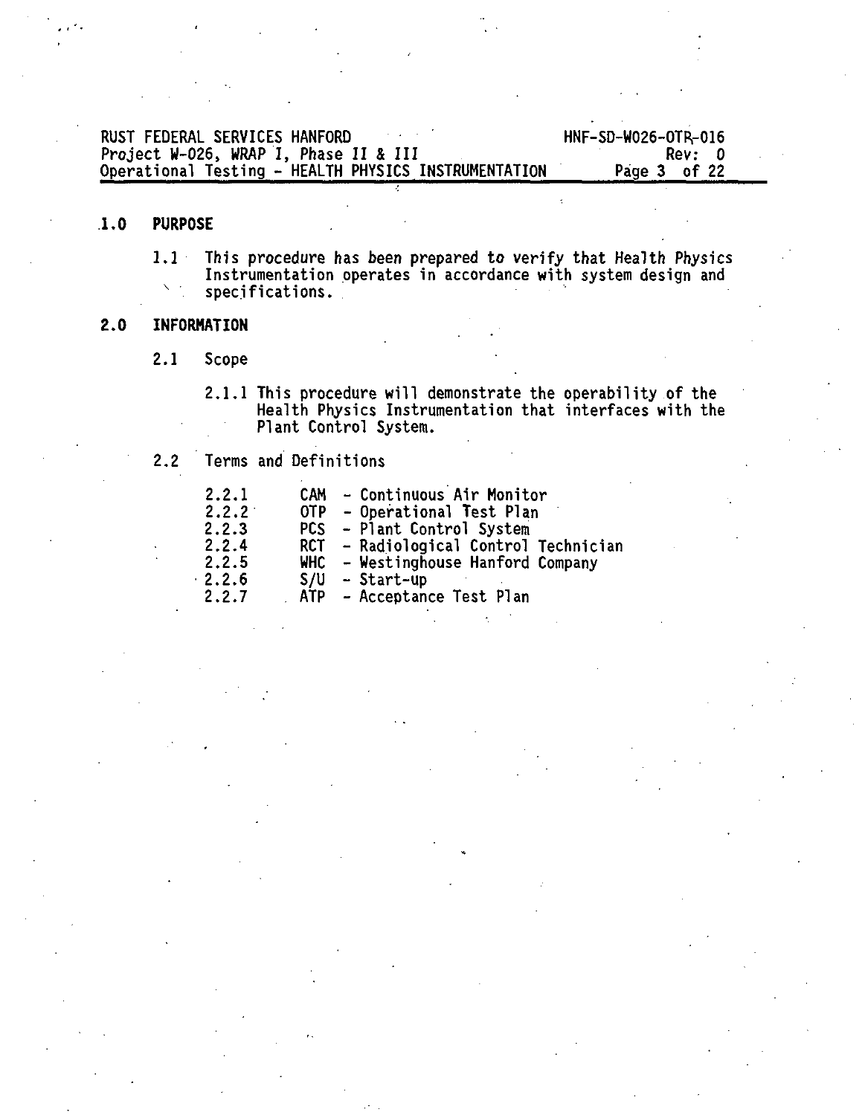| RUST FEDERAL SERVICES HANFORD                        | HNF-SD-W026-OTR-016 |  |
|------------------------------------------------------|---------------------|--|
| Project W-026, WRAP I, Phase II & III                | Rev: D              |  |
| Operational Testing - HEALTH PHYSICS INSTRUMENTATION | Page 3 of 22        |  |

### **1.0 PURPOSE**

1.1 Inis procedure has been prepared to verify that Health Physics<br>Instrumentation operates in accordance with system design and<br>specifications.

### **2.0 INFORMATION**

2.1 Scope

2.1.1 This procedure will demonstrate the operability of the Health Physics Instrumentation that interfaces with the Plant Control System.

### 2.2 Terms and Definitions

| 2.2.1 | CAM - Continuous Air Monitor          |
|-------|---------------------------------------|
| 2.2.2 | OTP - Operational Test Plan           |
| 2.2.3 | PCS - Plant Control System            |
| 2.2.4 | RCT - Radiological Control Technician |
| 2.2.5 | WHC - Westinghouse Hanford Company    |
| 2.2.6 | $S/U - Start-up$                      |
| 2.2.7 | ATP - Acceptance Test Plan            |
|       |                                       |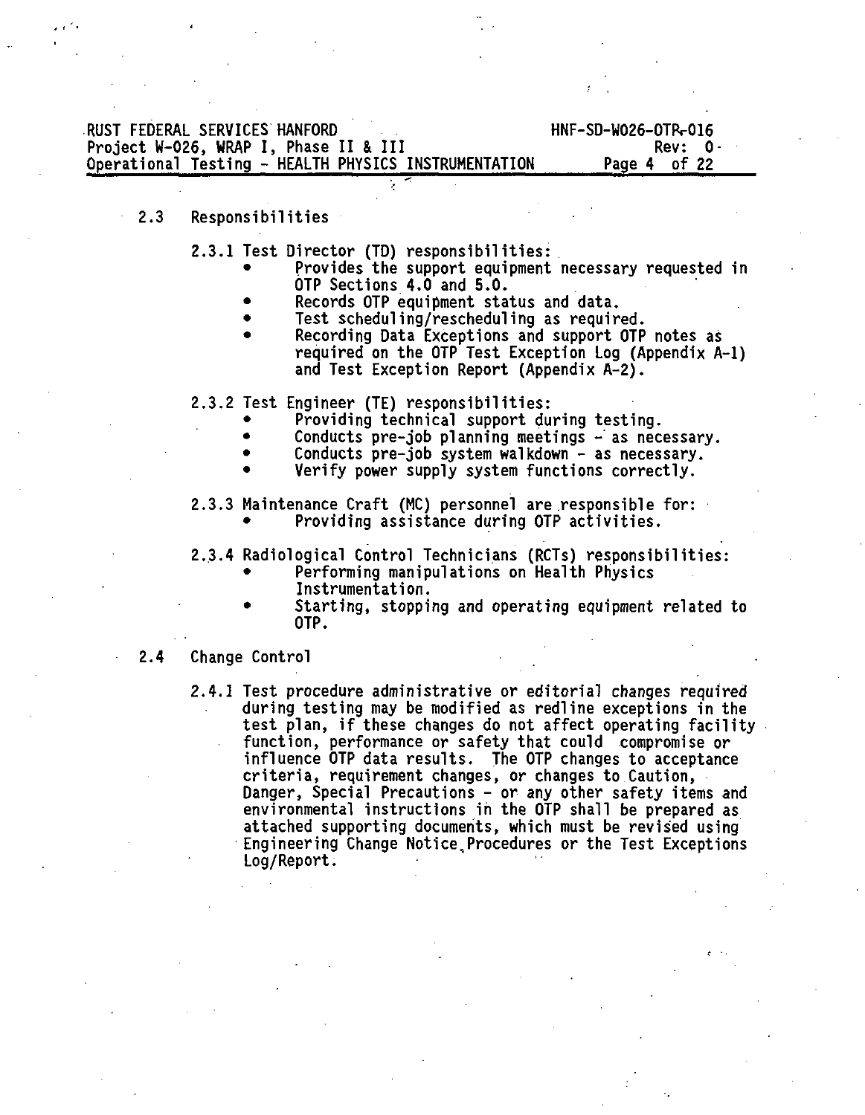### **RUST FEDERAL SERVICES HANFORD**<br>Project W-026, WRAP I, Phase II & III CHANGES HOTEL HOTEL Rev: 0 **Project W-026, WRAP I, Phase II & III Rev: 0-** Operational Testing - HEALTH PHYSICS INSTRUMENTATION

### **2.3 Responsibilities**

**2.3.1 Test Director (TD) responsibilities:**

- **Provides the support equipment necessary requested in OTP Sections 4.0 and 5.0.**
- **Records OTP equipment status and data.**
- **Test scheduling/rescheduling as required.**
- **Recording Data Exceptions and support OTP notes as required on the OTP Test Exception Log (Appendix A-l) and Test Exception Report (Appendix A-2).**
- **2.3.2 Test Engineer (TE) responsibilities:**
	- **Providing technical support during testing.**
	- **Conducts pre-job planning meetings -' as necessary.**
	- **Conducts pre-job system walkdown as necessary.**
	- **Verify power supply system functions correctly.**
- **2.3.3 Maintenance Craft (MC) personnel are responsible for: • Providing assistance during OTP activities.**
- **2.3.4 Radiological Control Technicians (RCTs) responsibilities:**
	- **Performing manipulations on Health Physics Instrumentation.**
		- **Starting, stopping and operating equipment related to OTP.**

### **2.4 Change Control**

**2.4.1 Test procedure administrative or editorial changes required during testing may be modified as redline exceptions in the test plan, if these changes do not affect operating facility function, performance or safety that could compromise or influence OTP data results. The OTP changes to acceptance criteria, requirement changes, or changes to Caution, Danger, Special Precautions - or any other safety items and environmental instructions in the OTP shall be prepared as attached supporting documents, which must be revised using Engineering Change Notice,Procedures or the Test Exceptions Log/Report.**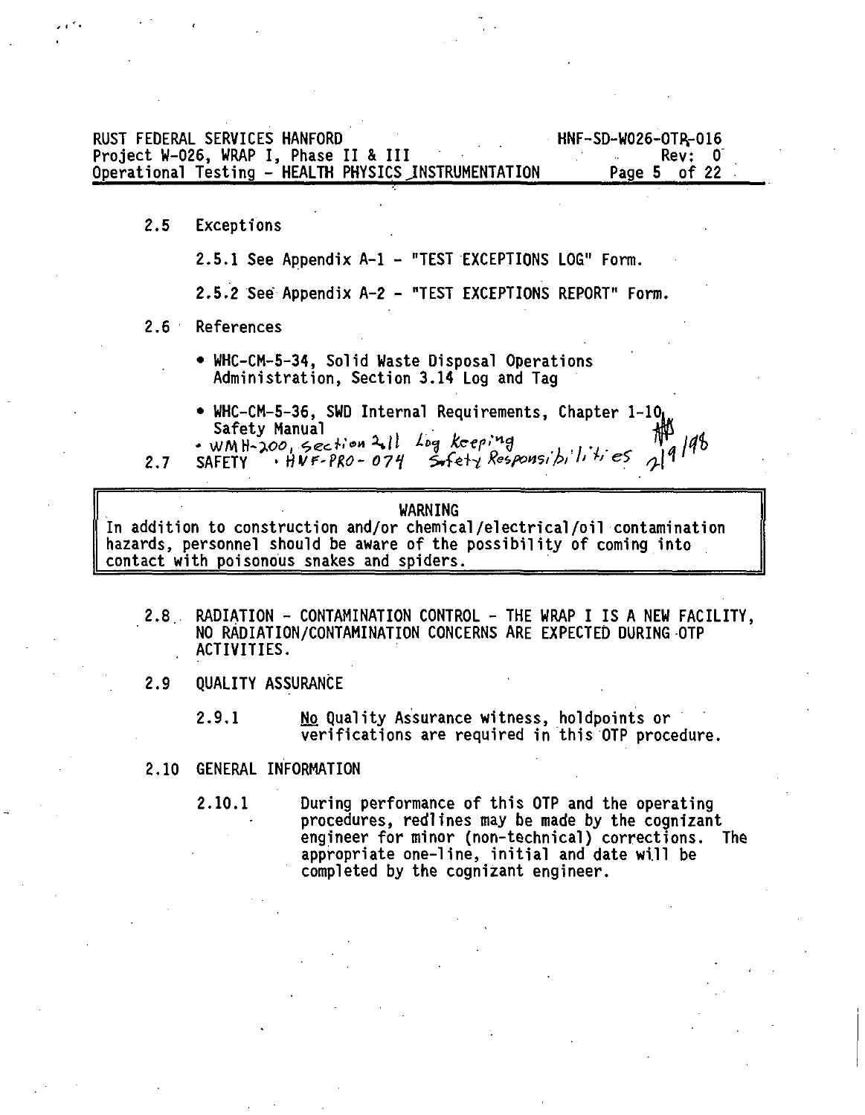| RUST FEDERAL SERVICES HANFORD                        | HNF-SD-W026-OTR-016 |
|------------------------------------------------------|---------------------|
| Project W-026, WRAP I, Phase II & III                | Rev: 0              |
| Operational Testing - HEALTH PHYSICS INSTRUMENTATION | Page 5 of 22        |

**2.5 Exceptions**

**2.5.1 See Appendix A-l - "TEST EXCEPTIONS LOG" Form.**

**2.5.2 See Appendix A-2 - "TEST EXCEPTIONS REPORT" Form.**

**2.6 References**

- **WHC-CM-5-34, Solid Waste Disposal Operations Administration, Section 3.14 Log and Tag**
- **WHC-CM-5-36, SWD Internal Requirements, Chapter l-10i Safety Manual** *m .*

**2.7 SAFETY •** *HVF-PRO- 07f UteH Rapon?, f>, h +> e\$* **^ 1 '**

### **WARNING**

**In addition to construction and/or chemical/electrical/oil contamination hazards, personnel should be aware of the possibility of coming into contact with poisonous snakes and spiders.**

- **2.8 RADIATION CONTAMINATION CONTROL THE WRAP I IS A NEW FACILITY, NO RADIATION/CONTAMINATION CONCERNS ARE EXPECTED DURING OTP ACTIVITIES.**
- **2.9 QUALITY ASSURANCE**
	- **2.9.1 No Quality Assurance witness, holdpoints or verifications are required in this OTP procedure.**
- **2.10 GENERAL INFORMATION**

**2.10.1 During performance of this OTP and the operating procedures, redlines may be made by the cognizant engineer for minor (non-technical) corrections. The appropriate one-line, initial and date will be completed by the cognizant engineer.**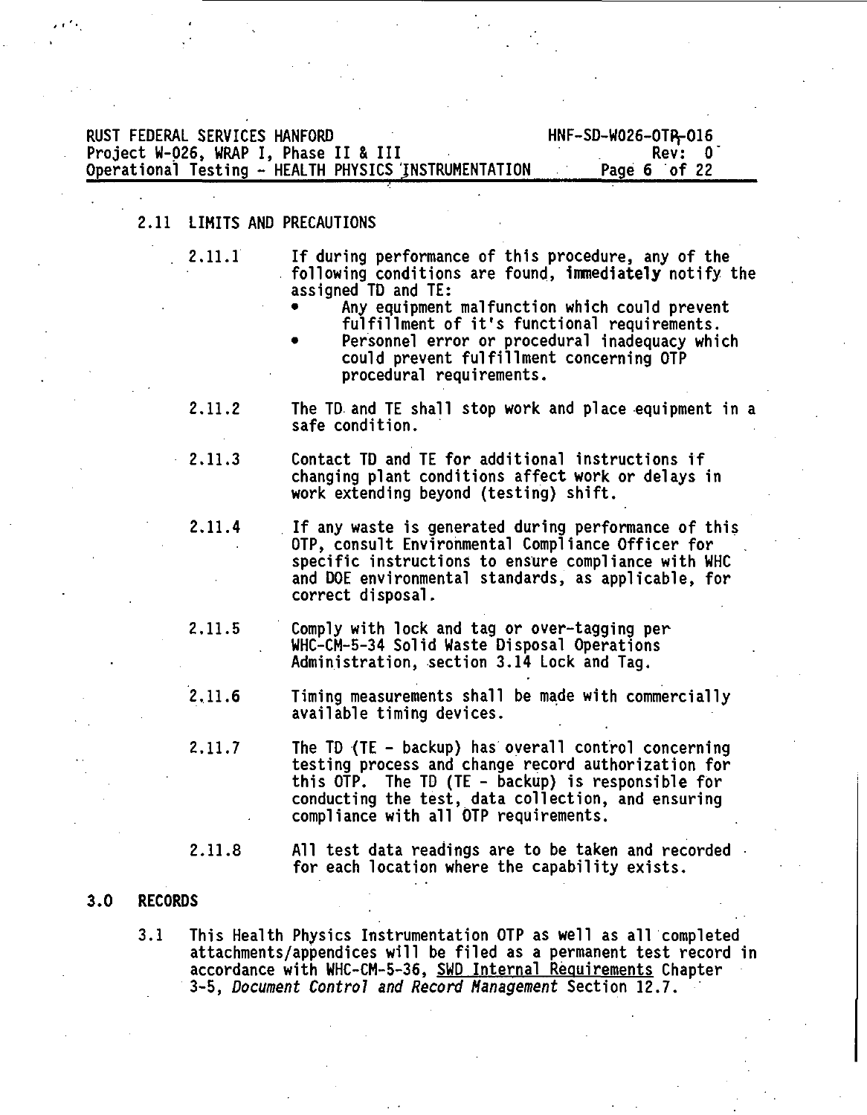### RUST FEDERAL SERVICES HANFORD<br>Project W-026, WRAP I, Phase II & III Carries Marchael Rev: 0 Project W-026, WRAP I, Phase II & III Rev: 0" Operational Testing - HEALTH PHYSICS 'INSTRUMENTATION

### 2.11 LIMITS AND PRECAUTIONS

- 
- 2.11.1 If during performance of this procedure, any of the following conditions are found, Immediately notify the assigned TD and TE:
	- Any equipment malfunction which could prevent fulfillment of it's functional requirements.
	- Personnel error or procedural inadequacy which could prevent fulfillment concerning OTP procedural requirements.
- 2.11.2 The TD and TE shall stop work and place equipment in a safe condition.
- 2.11.3 Contact TD and TE for additional instructions if changing plant conditions affect work or delays in work extending beyond (testing) shift.
- 2.11.4 If any waste is generated during performance of this OTP, consult Environmental Compliance Officer for specific instructions to ensure compliance with WHC and DOE environmental standards, as applicable, for correct disposal.
- 2.11.5 Comply with lock and tag or over-tagging per . WHC-CM-5-34 Solid Waste Disposal Operations Administration, section 3.14 Lock and Tag.
- 2.11.6 Timing measurements shall be made with commercially available timing devices.
- 2.11.7 The TD (TE backup) has overall control concerning testing process and change record authorization for this OTP. The TD (TE - backup) is responsible for conducting the test, data collection, and ensuring compliance with all OTP requirements.
- 2.11.8 All test data readings are to be taken and recorded for each location where the capability exists.

### **3.0 RECORDS**

3.1 This Health Physics Instrumentation OTP as well as all completed attachments/appendices will be filed as a permanent test record in accordance with WHC-CM-5-36, SWD Internal Requirements Chapter 3-5, Document Control and Record Management Section 12.7.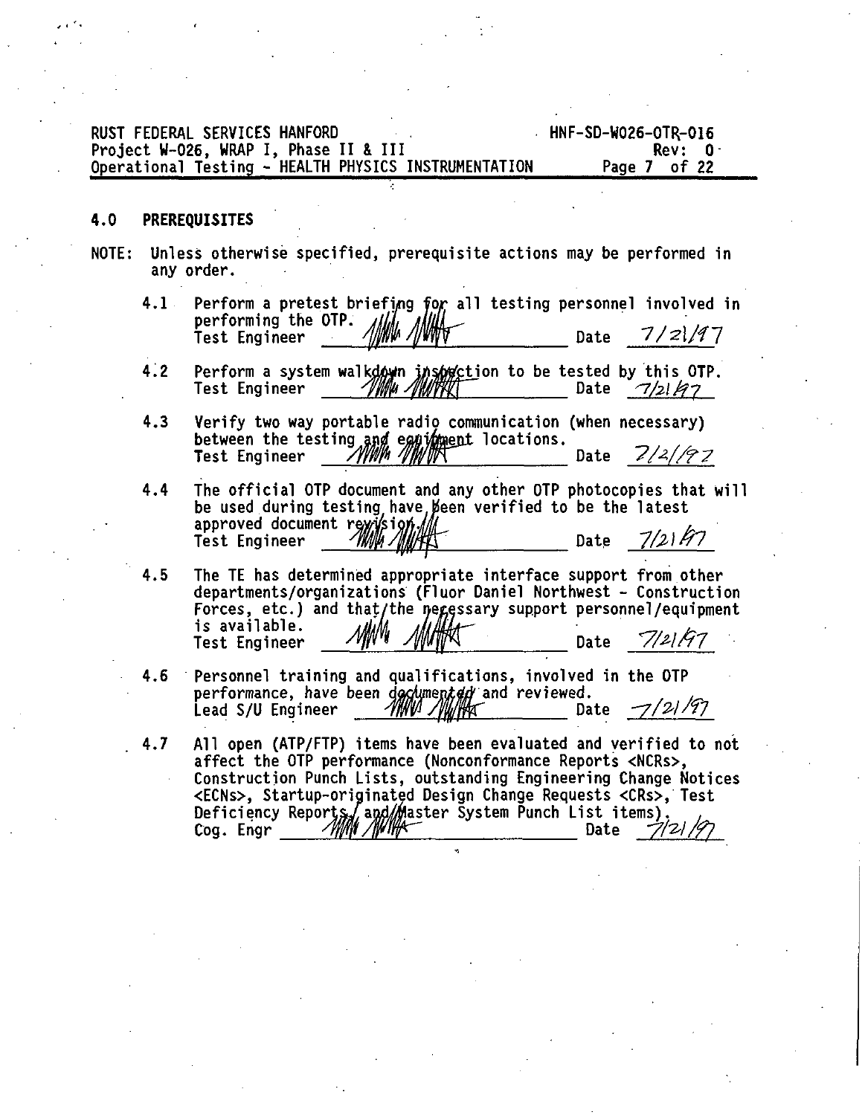|     | RUST FEDERAL SERVICES HANFORD<br>HNF-SD-W026-OTR-016<br>Project W-026, WRAP I, Phase II & III<br>Rev: 0.<br>Operational Testing - HEALTH PHYSICS INSTRUMENTATION<br>Page 7 of 22                                                                                                                                                                                                                   |  |
|-----|----------------------------------------------------------------------------------------------------------------------------------------------------------------------------------------------------------------------------------------------------------------------------------------------------------------------------------------------------------------------------------------------------|--|
| 4.0 | <b>PREREQUISITES</b>                                                                                                                                                                                                                                                                                                                                                                               |  |
|     | NOTE: Unless otherwise specified, prerequisite actions may be performed in<br>any order.                                                                                                                                                                                                                                                                                                           |  |
|     | $4.1 -$<br>Perform a pretest briefing for all testing personnel involved in<br>performing the OTP.<br><u>MAL ANNIV</u><br>7/21/97<br>Date<br>Test Engineer                                                                                                                                                                                                                                         |  |
|     | 4.2<br>Perform a system walkdown insometion to be tested by this OTP.<br>Test Engineer<br>'I'INNA 'I'INII'FKET<br>Date<br>7/21/7                                                                                                                                                                                                                                                                   |  |
|     | 4.3<br>Verify two way portable radio communication (when necessary)<br>between the testing and equidment locations.<br>Date $2/2/97$<br>ZYYNIM NIMITR<br><b>Test Engineer</b>                                                                                                                                                                                                                      |  |
|     | The official OTP document and any other OTP photocopies that will<br>4.4<br>be used during testing have been verified to be the latest<br>approved document revision<br>7/2147<br>Date                                                                                                                                                                                                             |  |
|     | 4.5<br>The TE has determined appropriate interface support from other<br>departments/organizations (Fluor Daniel Northwest - Construction<br>Forces, etc.) and that/the negessary support personnel/equipment<br>is available.<br>Date 7/21/97<br>Test Engineer                                                                                                                                    |  |
|     | Personnel training and qualifications, involved in the OTP<br>4.6<br>performance, have been documented and reviewed.<br>MW MWHAT<br>–7/21/97<br>Lead S/U Engineer<br>Date                                                                                                                                                                                                                          |  |
|     | All open (ATP/FTP) items have been evaluated and verified to not<br>4.7<br>affect the OTP performance (Nonconformance Reports <ncrs>.<br/>Construction Punch Lists, outstanding Engineering Change Notices<br/><ecns>, Startup-originated Design Change Requests <crs>, Test<br/>Deficiency Reports / and Master System Punch List items).<br/>Cog. Engr<br/>/WWW /WW<br/>Date</crs></ecns></ncrs> |  |
|     |                                                                                                                                                                                                                                                                                                                                                                                                    |  |
|     |                                                                                                                                                                                                                                                                                                                                                                                                    |  |
|     |                                                                                                                                                                                                                                                                                                                                                                                                    |  |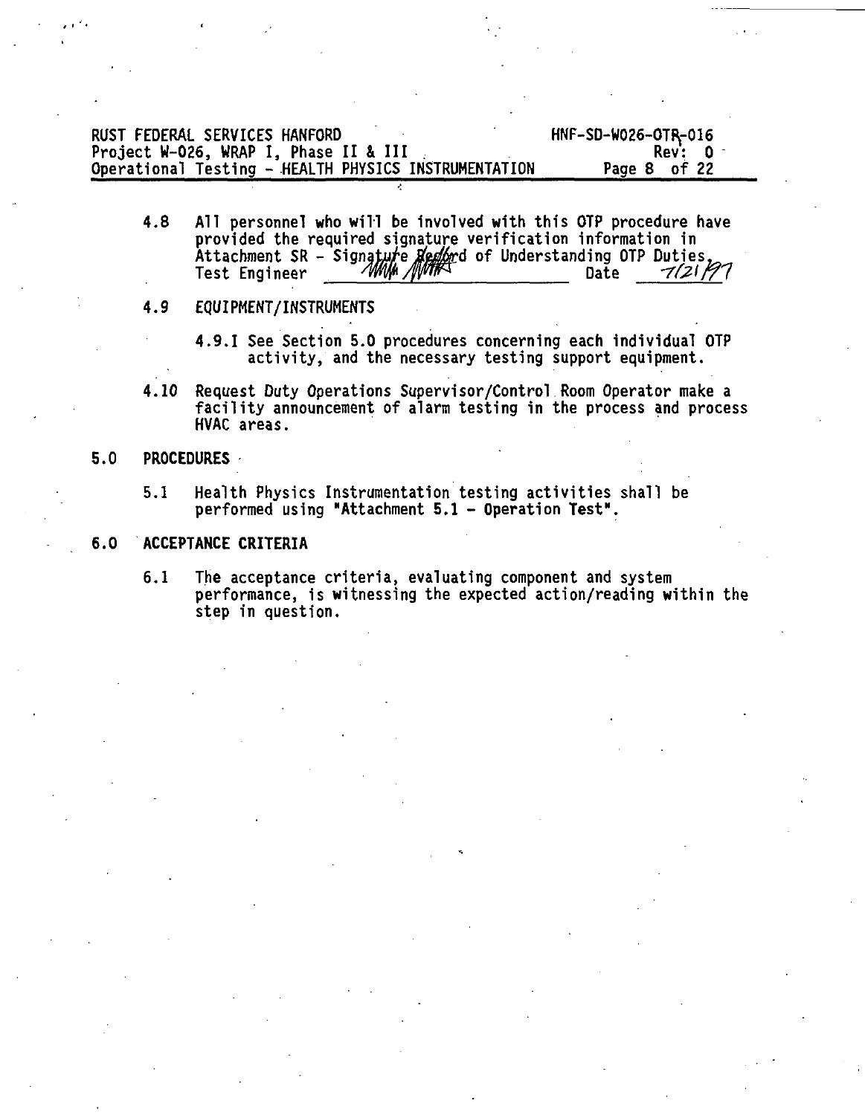| RUST FEDERAL SERVICES HANFORD                        | HNF-SD-W026-OTR-016 |
|------------------------------------------------------|---------------------|
| Project W-026, WRAP I. Phase II & III                | Rev: 0 -            |
| Operational Testing - HEALTH PHYSICS INSTRUMENTATION | Page 8 of 22        |

4.8 All personnel who will be involved with this OTP procedure have provided the required signature verification information in Attachment SR - Signatu/ejfes^ffd of Understanding OTP Duties, Test Engineer mfr/fjmP Date -77C2'/77

### 4.9 EQUIPMENT/INSTRUMENTS

- 4.9.1 See Section 5.0 procedures concerning each individual OTP activity, and the necessary testing support equipment.
- 4.10 Request Duty Operations Supervisor/Control Room Operator make a facility announcement of alarm testing in the process and process HVAC areas.

### 5.0 **PROCEDURES**

5.1 Health Physics Instrumentation testing activities shall be performed using "Attachment **5.1** - Operation Test".

### 6.0 **ACCEPTANCE CRITERIA**

6.1 The acceptance criteria, evaluating component and system performance, is witnessing the expected action/reading within the step in question.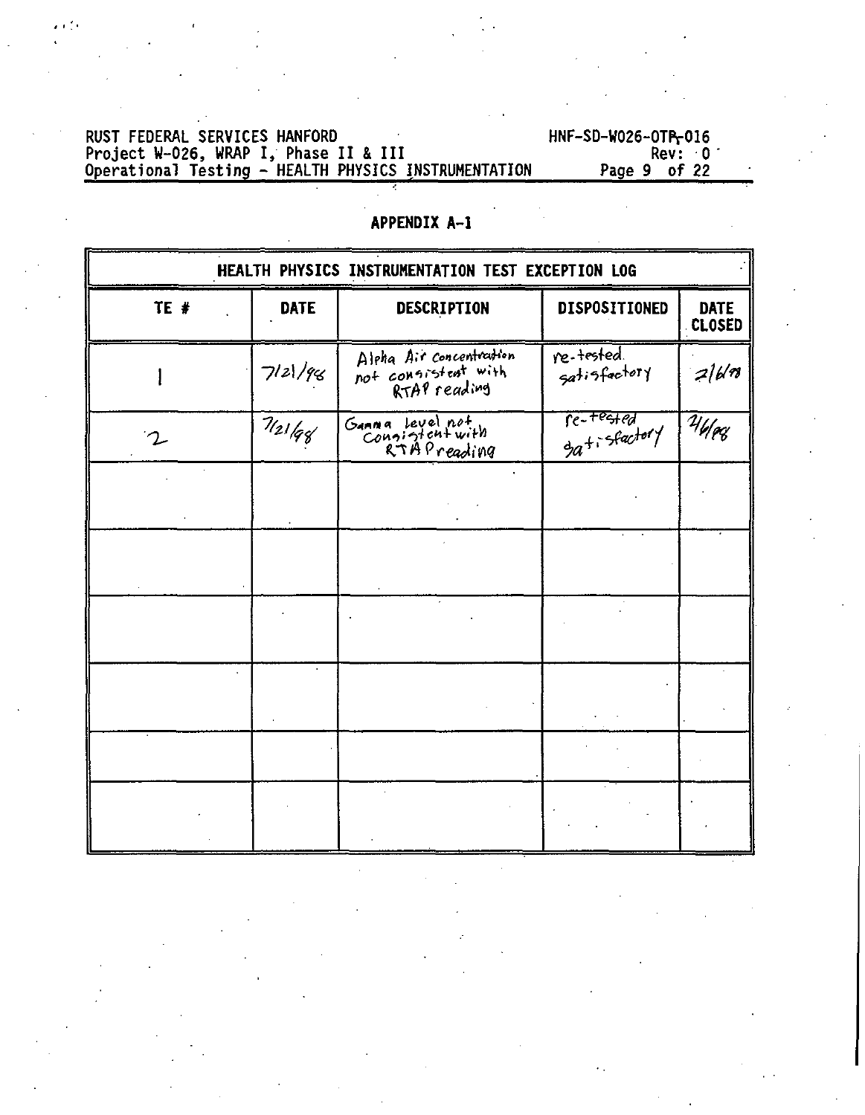## RUST FEDERAL SERVICES HANFORD HNF-SD-W026-OTIV016 Project W-026, WRAP I, Phase II & III Rev: 0' Operational Testing - HEALTH PHYSICS INSTRUMENTATION Page 9 of 22

| HEALTH PHYSICS INSTRUMENTATION TEST EXCEPTION LOG |             |                                                   |                            |                       |  |  |
|---------------------------------------------------|-------------|---------------------------------------------------|----------------------------|-----------------------|--|--|
| TE #                                              | <b>DATE</b> | DESCRIPTION                                       | <b>DISPOSITIONED</b>       | DATE<br><b>CLOSED</b> |  |  |
|                                                   | 7 2 /96     | Alpha Air concentration<br>not consistent with    | re-tested.<br>satisfactory | 216/18                |  |  |
| $\mathcal{T}$                                     | 7/21/96     | Ganna Level not<br>Consistent with<br>RTAPreading | fe-tested<br>gatisfactory  | 746                   |  |  |
|                                                   |             |                                                   |                            |                       |  |  |
|                                                   |             |                                                   |                            |                       |  |  |
|                                                   |             |                                                   |                            |                       |  |  |
|                                                   |             |                                                   |                            |                       |  |  |
|                                                   |             |                                                   |                            |                       |  |  |
|                                                   |             |                                                   |                            |                       |  |  |

### **APPENDIX A-l**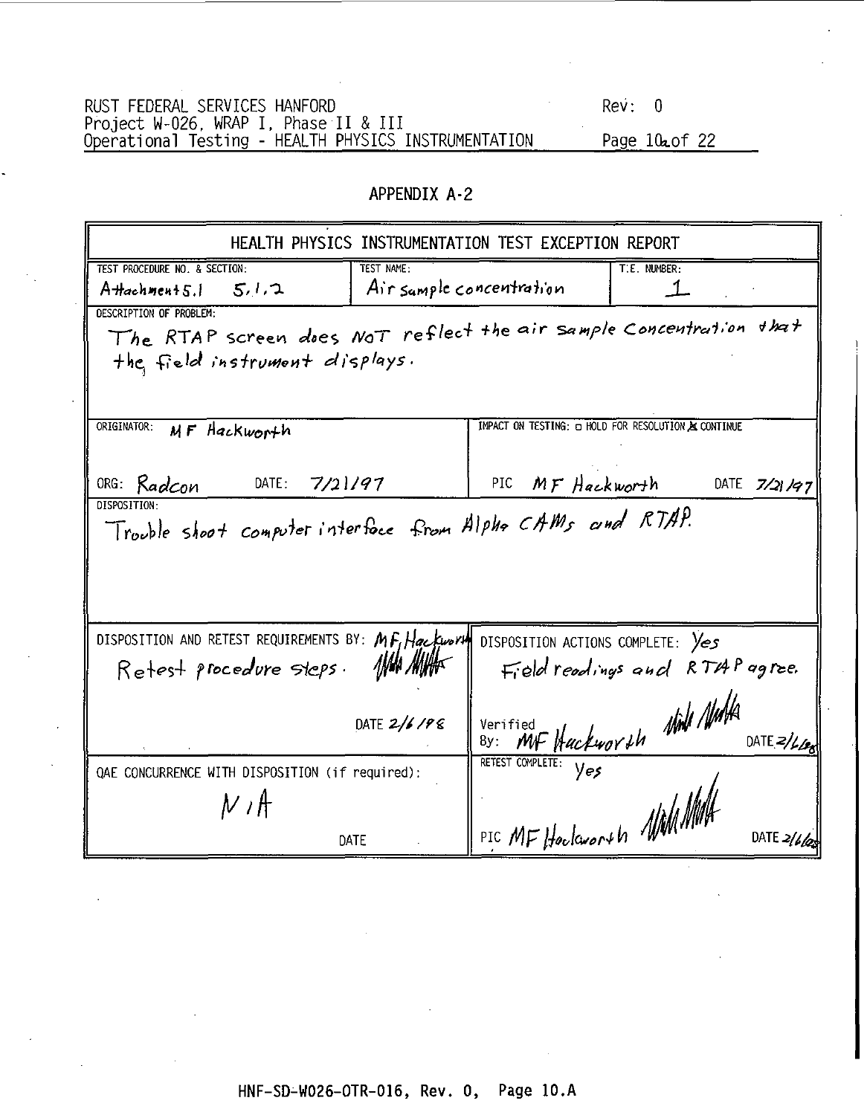| RUST FEDERAL SERVICES HANFORD                        | Revi 0                 |
|------------------------------------------------------|------------------------|
| Project W-026. WRAP I, Phase II & III                |                        |
| Operational Testing - HEALTH PHYSICS INSTRUMENTATION | Page 10 <b>2</b> of 22 |

### **APPENDIX A-2**

|                                                            | HEALTH PHYSICS INSTRUMENTATION TEST EXCEPTION REPORT               |  |  |  |  |  |  |
|------------------------------------------------------------|--------------------------------------------------------------------|--|--|--|--|--|--|
| TEST PROCEDURE NO. & SECTION:<br>TEST NAME:                | T.E. NUMBER:                                                       |  |  |  |  |  |  |
| 5.1.7<br>A Hachment 5.1                                    | Air sample concentration                                           |  |  |  |  |  |  |
| DESCRIPTION OF PROBLEM:                                    |                                                                    |  |  |  |  |  |  |
|                                                            | The RTAP screen does Not reflect the air sample Concentration that |  |  |  |  |  |  |
| the field instrument displays.                             |                                                                    |  |  |  |  |  |  |
|                                                            |                                                                    |  |  |  |  |  |  |
|                                                            |                                                                    |  |  |  |  |  |  |
| ORIGINATOR:<br>MF Hackworth                                | IMPACT ON TESTING: O HOLD FOR RESOLUTION & CONTINUE                |  |  |  |  |  |  |
|                                                            |                                                                    |  |  |  |  |  |  |
| ORG: Radcon<br>DATE: $7/21/97$                             | MF Hackworth<br>DATE $7/21/97$<br>PIC                              |  |  |  |  |  |  |
| <b>DISPOSITION</b>                                         |                                                                    |  |  |  |  |  |  |
| Trouble shoot computer interface from Alpha CAMs and RTAP. |                                                                    |  |  |  |  |  |  |
|                                                            |                                                                    |  |  |  |  |  |  |
|                                                            |                                                                    |  |  |  |  |  |  |
|                                                            |                                                                    |  |  |  |  |  |  |
|                                                            |                                                                    |  |  |  |  |  |  |
| DISPOSITION AND RETEST REQUIREMENTS BY: MF, Hackworth      | DISPOSITION ACTIONS COMPLETE: Yes                                  |  |  |  |  |  |  |
| $\eta$ an mihr<br>Retest procedure steps.                  | Field readings and RTAP agree.                                     |  |  |  |  |  |  |
|                                                            |                                                                    |  |  |  |  |  |  |
| DATE 2/6/98                                                |                                                                    |  |  |  |  |  |  |
|                                                            | By: MF Hackworth Night Nights<br>DATE $2/\mu_{\rm B}$              |  |  |  |  |  |  |
| OAE CONCURRENCE WITH DISPOSITION (if required):            |                                                                    |  |  |  |  |  |  |
|                                                            |                                                                    |  |  |  |  |  |  |
| ルポ                                                         |                                                                    |  |  |  |  |  |  |
| DATE                                                       | PIC MF Hackworth WMM<br>DATE $2/66$                                |  |  |  |  |  |  |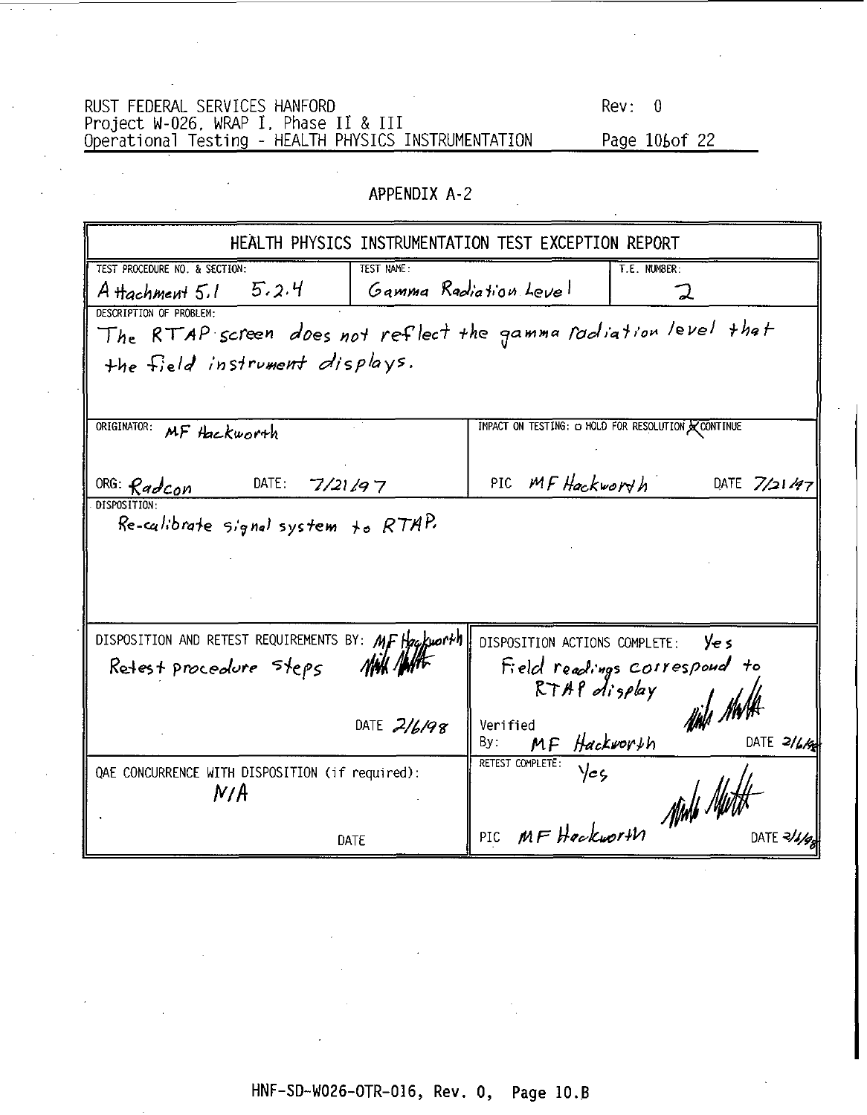RUST FEDERAL SERVICES HANFORD REV: 0 Novict W-026, WRAP I, Phase II & III<br>Project W-026, WRAP I, Phase II & III<br>Operational Testing - HEALTH PHYSICS INSTRUMENTATION Page 106of 22

### APPENDIX A-2

|                                                                 |                   | HEALTH PHYSICS INSTRUMENTATION TEST EXCEPTION REPORT |                                                   |
|-----------------------------------------------------------------|-------------------|------------------------------------------------------|---------------------------------------------------|
| TEST PROCEDURE NO. & SECTION:                                   | <b>TEST NAME:</b> |                                                      | T.E. NUMBER:                                      |
| 5.2.4<br>A Hachment 5,1                                         |                   | Gamma Radiation Level                                | コ                                                 |
| DESCRIPTION OF PROBLEM-                                         |                   |                                                      |                                                   |
| The RTAP screen does not reflect the gamma rodiation level that |                   |                                                      |                                                   |
| the field instrument displays.                                  |                   |                                                      |                                                   |
|                                                                 |                   |                                                      |                                                   |
|                                                                 |                   |                                                      |                                                   |
| ORIGINATOR:<br>MF Hackworth                                     |                   |                                                      | IMPACT ON TESTING: C HOLD FOR RESOLUTION CONTINUE |
|                                                                 |                   |                                                      |                                                   |
| DATE:<br>ORG: Radcon<br>7/21/97                                 |                   | PIC MF Hackworth                                     | DATE $7/21/97$                                    |
| DISPOSITION-                                                    |                   |                                                      |                                                   |
| Re-calibrate signal system to $RTAP$                            |                   |                                                      |                                                   |
|                                                                 |                   |                                                      |                                                   |
|                                                                 |                   |                                                      |                                                   |
|                                                                 |                   |                                                      |                                                   |
| DISPOSITION AND RETEST REQUIREMENTS BY: MF Hackworth            |                   | DISPOSITION ACTIONS COMPLETE:                        | Ye s                                              |
|                                                                 |                   |                                                      |                                                   |
| Retest procedure Steps                                          |                   | $RTAP$ display                                       | Field readings correspond to                      |
|                                                                 |                   |                                                      |                                                   |
|                                                                 | DATE $2/6/98$     | Verified                                             |                                                   |
|                                                                 |                   | MF Hackworth<br>Bγ:                                  | DATE $2/4/6$                                      |
| QAE CONCURRENCE WITH DISPOSITION (if required):                 |                   | RETEST COMPLETE:<br>Yeç                              |                                                   |
| N/A                                                             |                   |                                                      |                                                   |
|                                                                 |                   | PIC MF Hockworth All                                 |                                                   |
| DATE                                                            |                   |                                                      | DATE 3/                                           |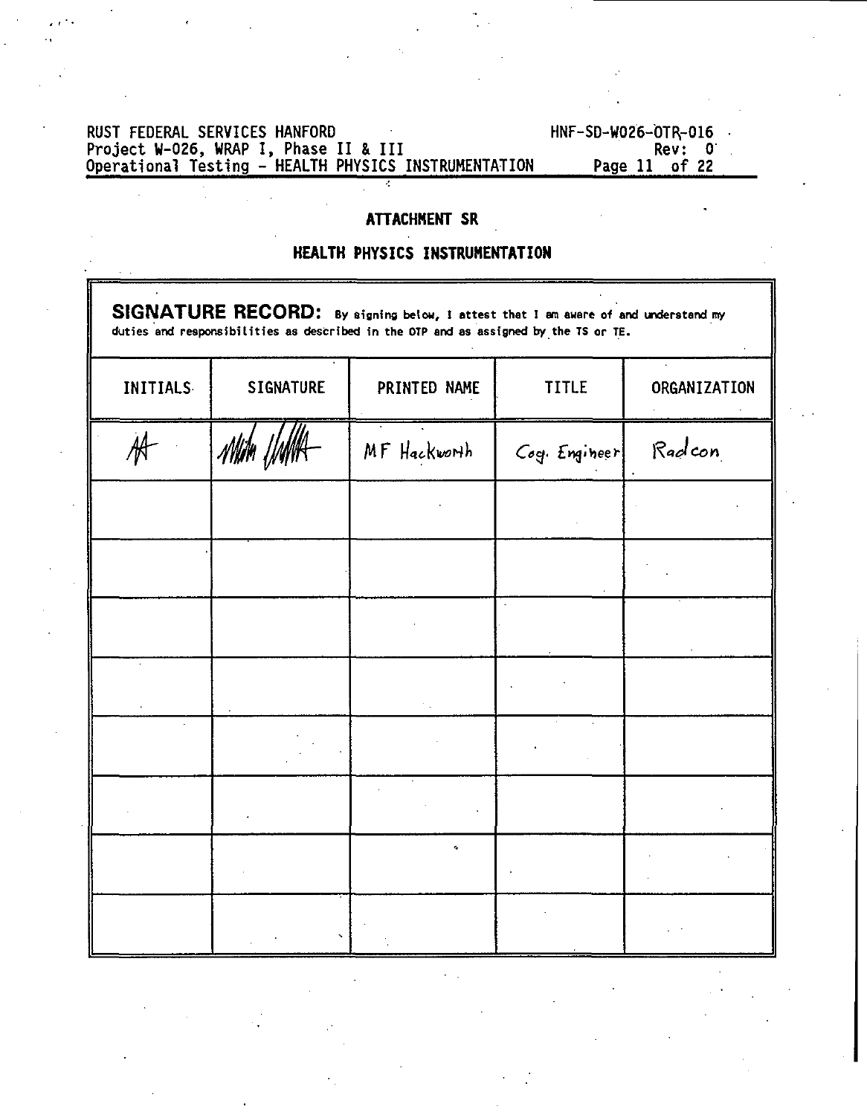## RUST FEDERAL SERVICES HANFORD<br>Project W-026, WRAP I, Phase II & III Rev: 0<br>Operational Testing – HEALTH PHYSICS INSTRUMENTATION Page 11 of 22

### **ATTACHMENT SR**

### **HEALTH PHYSICS INSTRUMENTATION**

| SIGNATURE RECORD: By signing below, I attest that I am aware of and understand my<br>duties and responsibilities as described in the OTP and as assigned by the TS or TE. |                  |              |               |              |  |  |
|---------------------------------------------------------------------------------------------------------------------------------------------------------------------------|------------------|--------------|---------------|--------------|--|--|
| <b>INITIALS</b>                                                                                                                                                           | <b>SIGNATURE</b> | PRINTED NAME | TITLE         | ORGANIZATION |  |  |
|                                                                                                                                                                           |                  | MF Hackworth | Cog. Engineer | Radcon       |  |  |
|                                                                                                                                                                           |                  |              |               |              |  |  |
|                                                                                                                                                                           |                  |              |               |              |  |  |
|                                                                                                                                                                           |                  |              |               |              |  |  |
|                                                                                                                                                                           |                  |              |               |              |  |  |
|                                                                                                                                                                           |                  |              |               |              |  |  |
|                                                                                                                                                                           |                  |              |               |              |  |  |
|                                                                                                                                                                           |                  |              |               |              |  |  |
|                                                                                                                                                                           |                  |              |               |              |  |  |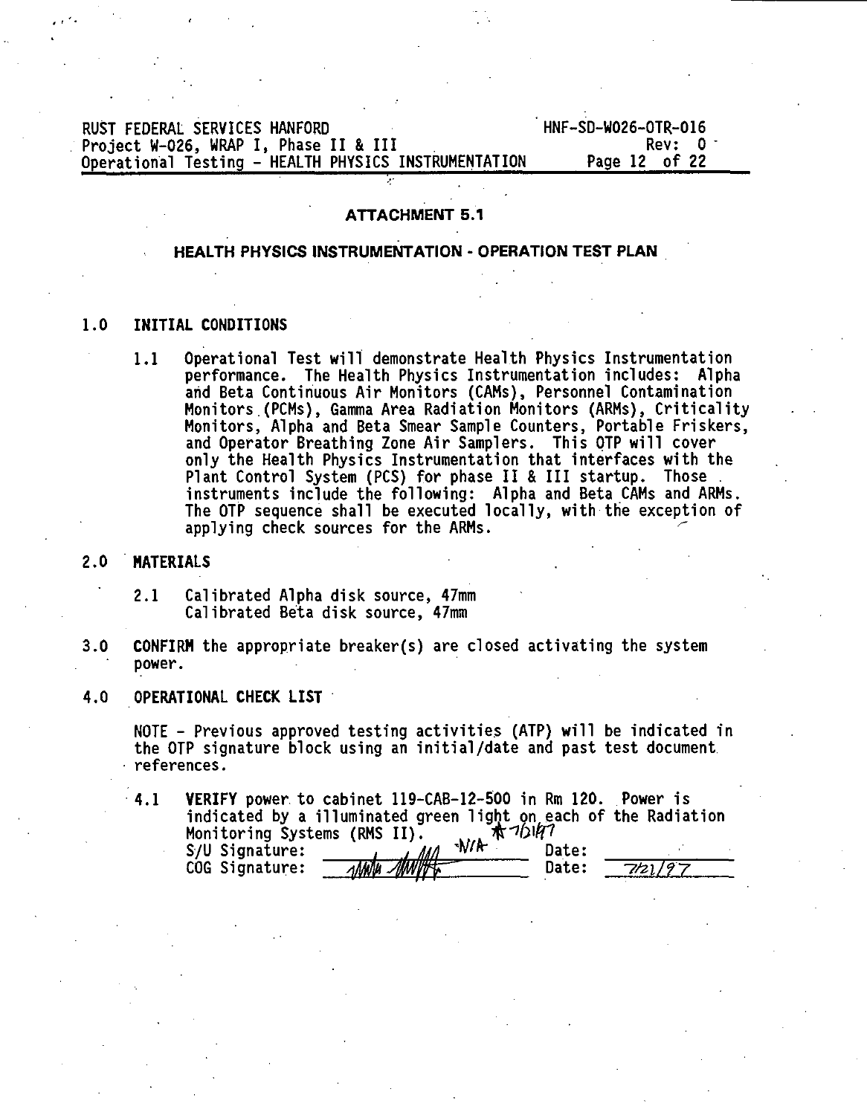### RUST FEDERAL SERVICES HANFORD<br>Project W-026. WRAP I. Phase II & III **And I. State And I. Phase II & III** Project W-026, WRAP I, Phase II & III<br>Operational Testing - HEALTH PHYSICS INSTRUMENTATION Page 12 of 22 **Operational Testing - HEALTH PHYSICS INSTRUMENTATION**

### **ATTACHMENT 5.1**

### **HEALTH PHYSICS INSTRUMENTATION - OPERATION TEST PLAN**

### **1.0 INITIAL CONDITIONS**

1.1 Operational Test will demonstrate Health Physics Instrumentation performance. The Health Physics Instrumentation includes: Alpha and Beta Continuous Air Monitors (CAMs), Personnel Contamination Monitors.(PCMs), Gamma Area Radiation Monitors (ARMs), Criticality Monitors, Alpha and Beta Smear Sample Counters, Portable Friskers, and Operator Breathing Zone Air Samplers. This OTP will cover only the Health Physics Instrumentation that interfaces with the Plant Control System (PCS) for phase II & III startup. Those . instruments include the following: Alpha and Beta CAMs and ARMs. The OTP sequence shall be executed locally, with the exception of applying check sources for the ARMs. ^

### 2.0 **MATERIALS** .

- 2.1 Calibrated Alpha disk source, 47mm Calibrated Beta disk source, 47mm
- 3.0 **CONFIRM** the appropriate breaker(s) are closed activating the system power.
- 4.0 **OPERATIONAL CHECK LIST**

NOTE - Previous approved testing activities (ATP) will be indicated in the OTP signature block using an initial/date and past test document references.

4.1 **VERIFY** power to cabinet 119-CAB-12-500 in Rm 120. Power is indicated by a illuminated green light on each of the Radiation Monitoring Systems (RMS II). Ж<sup>-712147</sup><br>S/U Signature: , , , , , , , , , , , Date: ,

| S/U Signature: | W/R          | Date:        |         |
|----------------|--------------|--------------|---------|
| COG Signature: | White Millet | <b>Date:</b> | 7121/97 |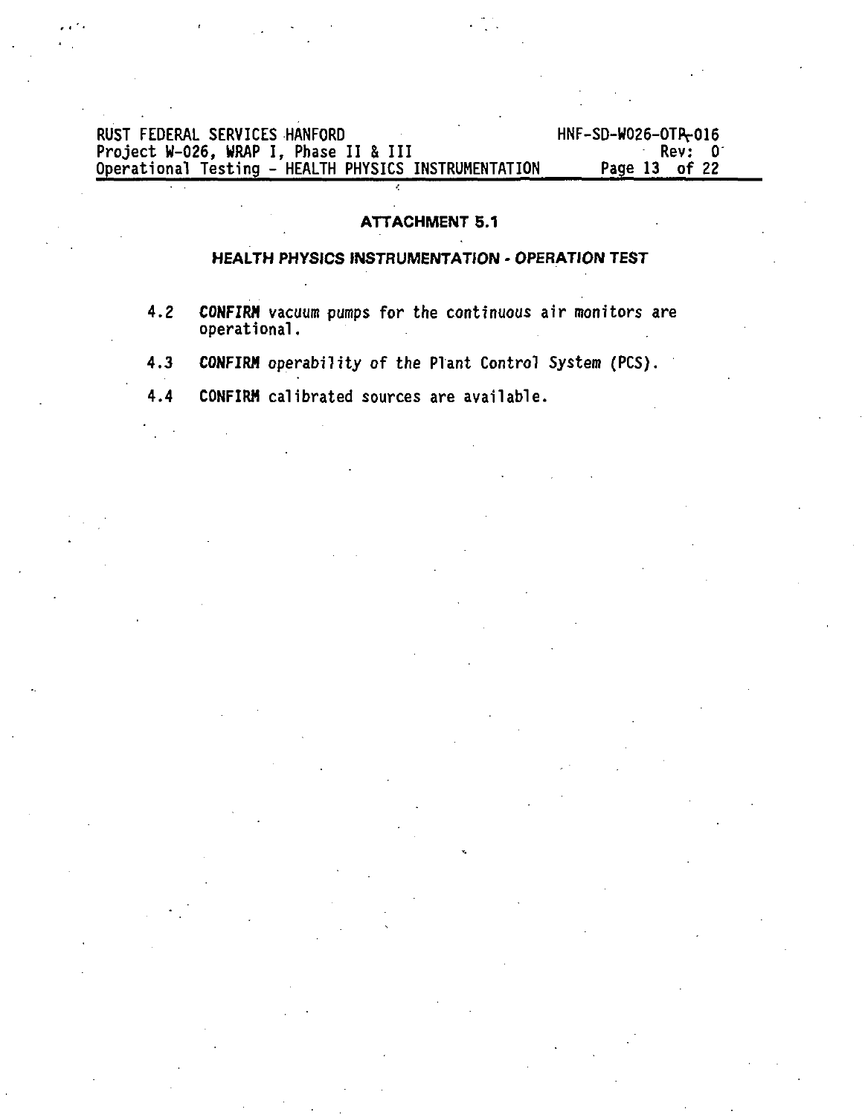## RUST FEDERAL SERVICES HANFORD HNF-SD-W026-0TIV016 Project W-026, WRAP I , Phase I I & II I Rev: 0 Operational Testing - HEALTH PHYSICS INSTRUMENTATION Page 13 of 22

### **ATTACHMENT 5.1**

### **HEALTH PHYSICS INSTRUMENTATION - OPERATION TEST**

- **4.2 CONFIRM** vacuum pumps for the continuous air monitors are operational.
- 4.3 **CONFIRM** operability of the Plant Control System (PCS).
- 4.4 CONFIRM calibrated sources are available.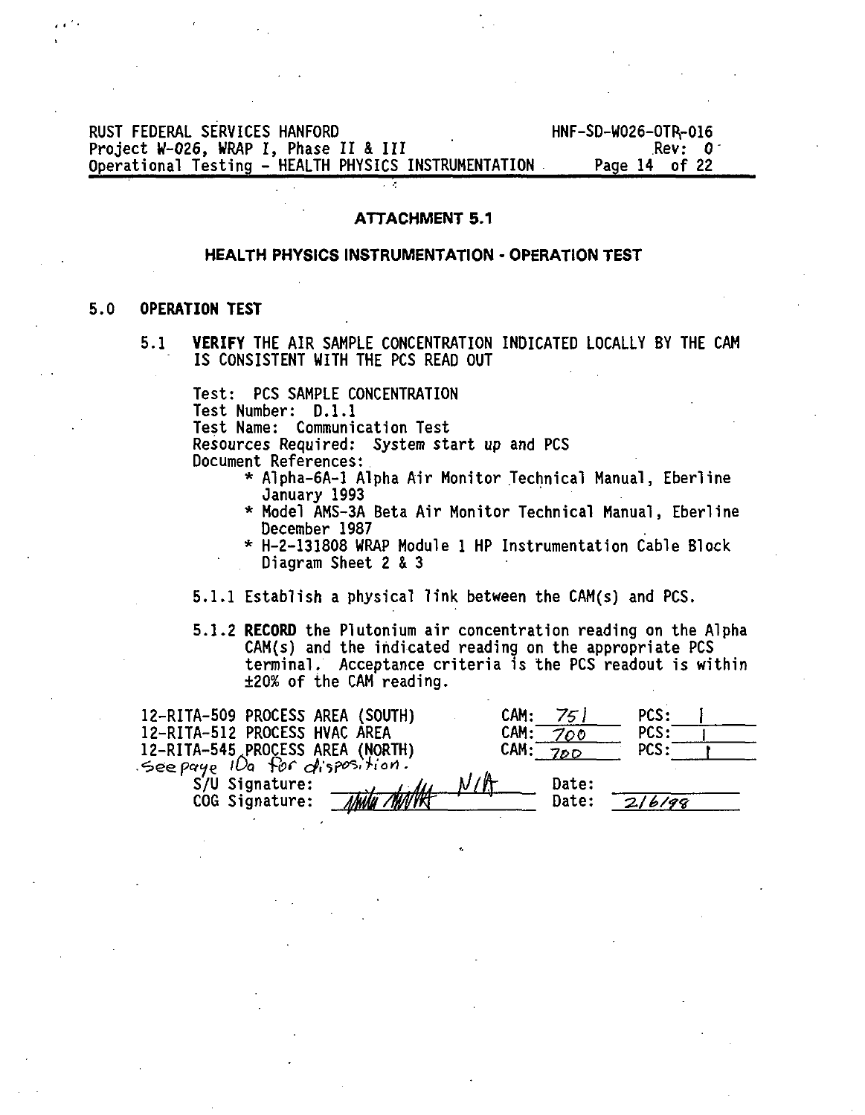### RUST FEDERAL SERVICES HANFORD<br>Project W-026, WRAP I, Phase II & III And HNF-SD-W026-OTR-016 Project W-O26, WRAP I, Phase II & III<br>
Operational Testing - HEALTH PHYSICS INSTRUMENTATION Page 14 of 22 Operational Testing - HEALTH PHYSICS INSTRUMENTATION

### **ATTACHMENT 5.1**

### **HEALTH PHYSICS INSTRUMENTATION • OPERATION TEST**

### **5.0 OPERATION TEST**

**5.1 VERIFY** THE AIR SAMPLE CONCENTRATION INDICATED LOCALLY BY THE CAM IS CONSISTENT WITH THE PCS READ OUT

Test: PCS SAMPLE CONCENTRATION Test Number: D.I.I Test Name: Communication Test Resources Required: System start up and PCS Document References:

- \* Alpha-6A-1 Alpha Air Monitor Technical Manual, Eberline January 1993
- \* Model AMS-3A Beta Air Monitor Technical Manual, Eberline December 1987
- \* H-2-131808 WRAP Module 1 HP Instrumentation Cable Block Diagram Sheet 2 & 3
- 5.1.1 Establish a physical link between the CAM(s) and PCS.
- 5.1.2 **RECORD** the Plutonium air concentration reading on the Alpha CAM(s) and the indicated reading on the appropriate PCS terminal. Acceptance criteria is the PCS readout is within ±20% of the CAM reading.

| 12-RITA-509 PROCESS AREA (SOUTH)                                  | 75 I<br>CAM: | PCS:   |
|-------------------------------------------------------------------|--------------|--------|
| 12-RITA-512 PROCESS HVAC AREA                                     | CAM:<br>700  | PCS:   |
| 12-RITA-545 PROCESS AREA (NORTH)<br>See paye 10a for disposition. | CAM:<br>700  | PCS:   |
|                                                                   |              |        |
| S/U Signature:                                                    | N/A<br>Date: |        |
| COG Signature:<br>Ahalu                                           | Date:        | 216199 |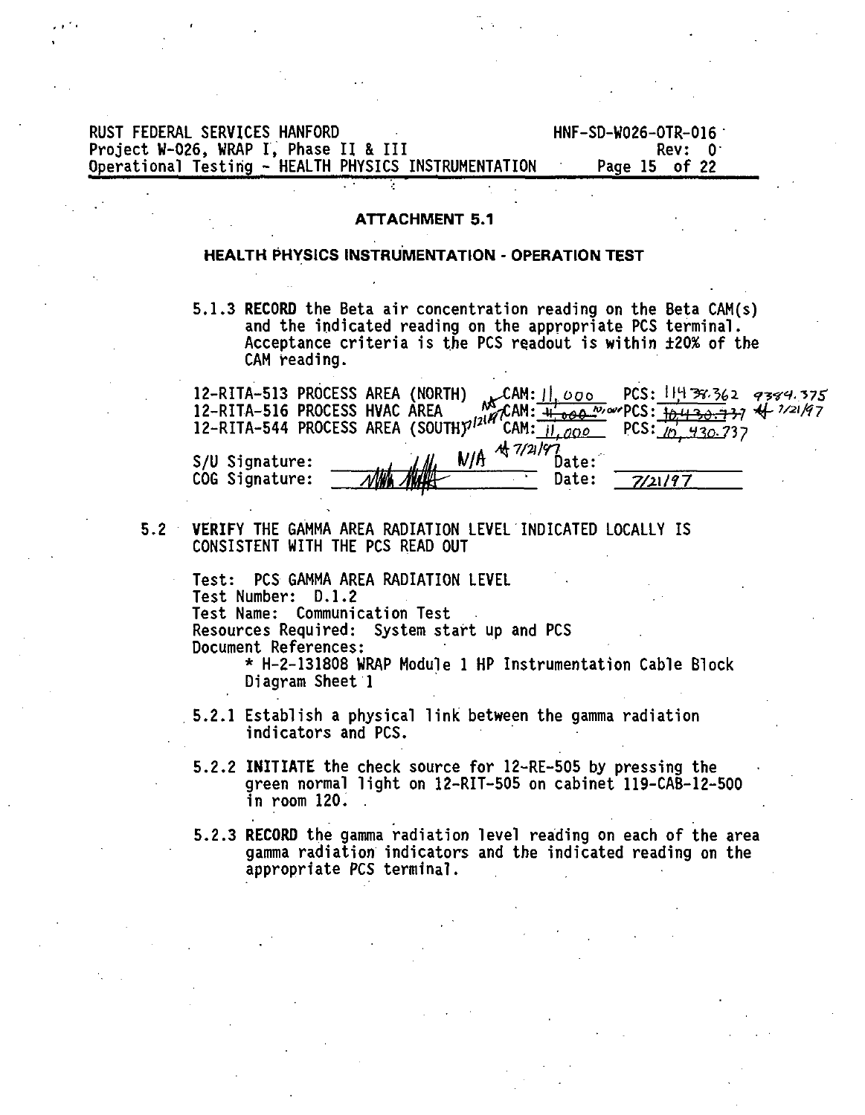| RUST FEDERAL SERVICES HANFORD                        | HNF-SD-W026-OTR-016 |
|------------------------------------------------------|---------------------|
| Project W-026. WRAP I. Phase II & III                | Rev: 0              |
| Operational Testing - HEALTH PHYSICS INSTRUMENTATION | Page 15 of 22       |

### **ATTACHMENT 5.1**

### **HEALTH PHYSICS INSTRUMENTATION - OPERATION TEST**

5.1.3 **RECORD** the Beta air concentration reading on the Beta CAM(s) and the indicated reading on the appropriate PCS terminal. Acceptance criteria is the PCS readout is within ±20% of the CAM reading.

|                |             |       | 12-RITA-544 PROCESS AREA MS CALL: $\frac{111500}{46600}$ rus: 117 98.362 9384<br>12-RITA-544 PROCESS AREA (SOUTH) <sup>1214</sup> CAM: 11 200 processing 4 7/21/97 |
|----------------|-------------|-------|--------------------------------------------------------------------------------------------------------------------------------------------------------------------|
|                | 4/7/21/97   |       |                                                                                                                                                                    |
| S/U Signature: | J. II.      | Date: |                                                                                                                                                                    |
| COG Signature: | <b>NUTT</b> | Date: | 7/21/97                                                                                                                                                            |

5.2 **VERIFY** THE GAMMA AREA RADIATION LEVEL INDICATED LOCALLY IS CONSISTENT WITH THE PCS READ OUT

Test: PCS GAMMA AREA RADIATION LEVEL Test Number: D.I.2 Test Name: Communication Test Resources Required: System start up and PCS Document References:

\* H-2-131808 WRAP Module 1 HP Instrumentation Cable Block Diagram Sheet 1

- 5.2.1 Establish a physical link between the gamma radiation indicators and PCS.
- 5.2.2 **INITIATE** the check source for 12-RE-505 by pressing the green normal light on 12-RIT-5O5 on cabinet 119-CAB-12-500 in room 120. .
- 5.2.3 **RECORD** the gamma radiation level reading on each of the area gamma radiation indicators and the indicated reading on the appropriate PCS terminal.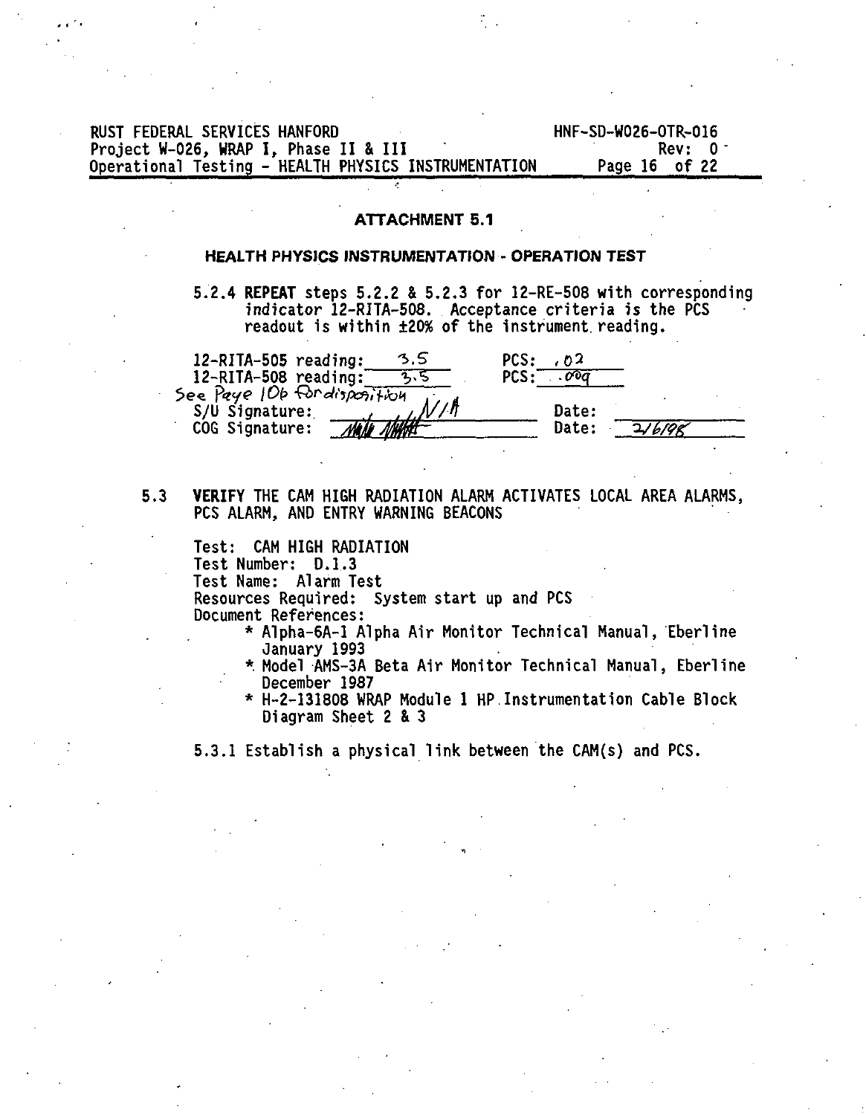| RUST FEDERAL SERVICES HANFORD                        | HNF-SD-W026-OTR-016 |
|------------------------------------------------------|---------------------|
| Project W-026. WRAP I. Phase II & III                | Rev: 0 <sup>-</sup> |
| Operational Testing - HEALTH PHYSICS INSTRUMENTATION | Page 16 of 22       |

### ATTACHMENT 5.1

### HEALTH PHYSICS INSTRUMENTATION - OPERATION TEST

5.2.4 REPEAT steps 5.2.2 & 5.2.3 for 12-RE-508 with corresponding indicator 12-RITA-508. Acceptance criteria is the PCS readout is within ±20% of the instrument reading.

| $12 - R1TA - 505$ reading:<br>12-RITA-508 reading: | 3.5           | PCS:<br>62<br>PCS :<br>$\overline{a}$ |       |
|----------------------------------------------------|---------------|---------------------------------------|-------|
| See Paye 10b for disposition<br>S/U Signature:     |               | <b>Date:</b>                          |       |
| COG Signature:                                     | <i>JOWNAL</i> | Date:                                 | 16100 |

### **5.3 VERIFY** THE CAM HIGH RADIATION ALARM ACTIVATES LOCAL AREA ALARMS, PCS ALARM, AND ENTRY WARNING BEACONS

Test: CAM HIGH RADIATION Test Number: D.I.3 Test Name: Alarm Test Resources Required: System start up and PCS Document References:

- \* Alpha-6A-1 Alpha Air Monitor Technical Manual, Eberline January 1993
- \*. Model AMS-3A Beta Air Monitor Technical Manual, Eberline December 1987
- \* H-2-131808 WRAP Module 1 HP.Instrumentation Cable Block Diagram Sheet 2 & 3

5.3.1 Establish a physical link between the CAM(s) and PCS.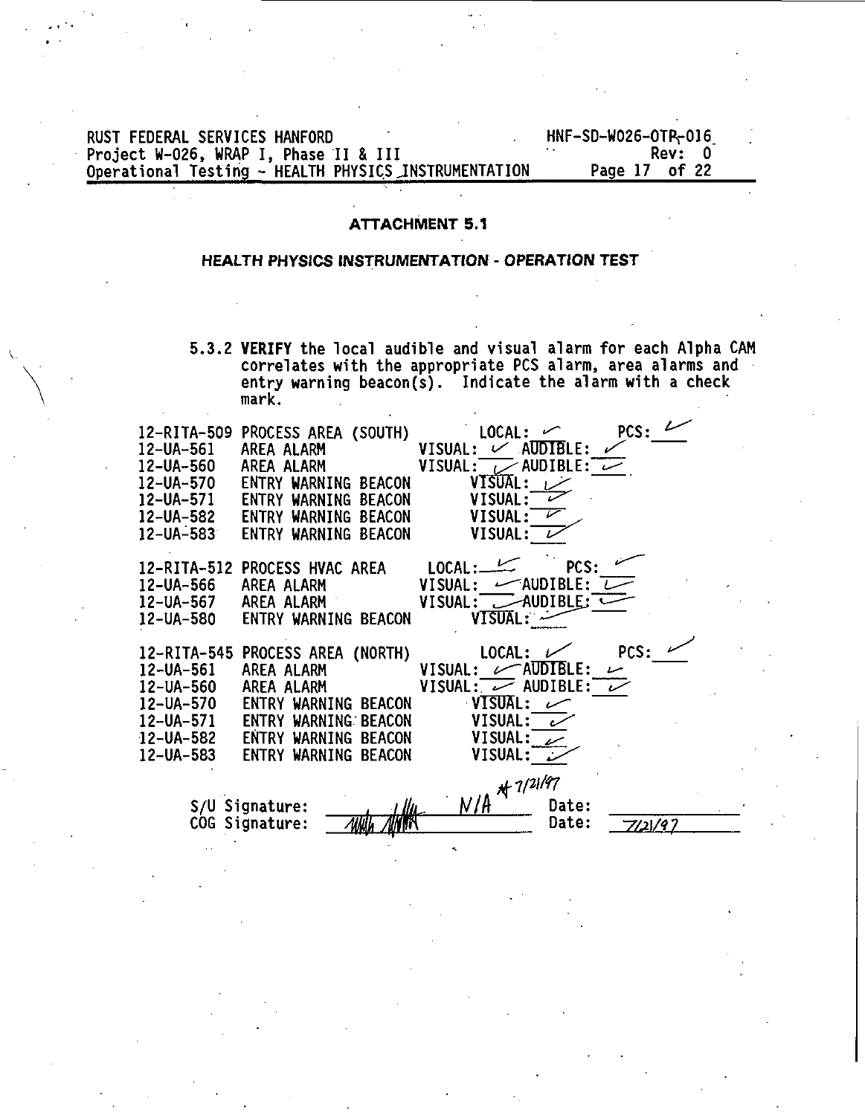## RUST FEDERAL SERVICES HANFORD<br>Project W-026, WRAP I, Phase II & III<br>Operational Testing - HEALTH PHYSICS INSTRUMENTATION Page 17 of 22

### **ATTACHMENT 5.1**

### **HEALTH PHYSICS INSTRUMENTATION - OPERATION TEST**

**5.3. 2 VERIFY the loca l audible and visua l alarm fo r each Alpha CAM correlate s with the appropriate PCS alarm, area alarms and entry warning beacon(s). Indicat e the alarm with a check mark.**

| 12-RITA-509<br>12-UA-561<br>12-UA-560<br>12-UA-570<br>12-UA-583 | PROCESS AREA (SOUTH)<br>AREA ALARM<br>AREA ALARM<br>ENTRY WARNING BEACON<br>12-UA-571 – ENTRY WARNING BEACON<br>12-UA-582 – ENTRY WARNING BEACON<br>ENTRY WARNING BEACON               | PCS:<br>LOCAL:<br>$\mathcal{L}$ AUDIBLE:<br><b>VISUAL:</b><br>VISUAL:<br>$\overline{\phantom{a}}$ audible: $\overline{\phantom{a}}$<br>VISUAL:<br>VISUAL:<br>VISUAL:<br>VISUAL:    |
|-----------------------------------------------------------------|----------------------------------------------------------------------------------------------------------------------------------------------------------------------------------------|------------------------------------------------------------------------------------------------------------------------------------------------------------------------------------|
| 12-UA-566<br>12-UA-567<br>12-UA-580                             | 12-RITA-512 PROCESS HVAC AREA<br>AREA ALARM<br>AREA ALARM<br>ENTRY WARNING BEACON                                                                                                      | LOCAL:<br>PCS:<br>VISUAL:<br>$-\infty$ AUDIBLE:<br>$\rightarrow$ AUDIBLE:<br><b>VISUAL:</b><br>VISUAL: ~                                                                           |
| 12-UA-561<br>12-UA-560<br>12-UA-570<br>12-UA-582<br>12-UA-583   | 12-RITA-545 PROCESS AREA (NORTH)<br>AREA ALARM<br>AREA ALARM<br>ENTRY WARNING<br><b>BEACON</b><br>12-UA-571 ENTRY WARNING BEACON<br>ENTRY WARNING<br>BEACON<br>ENTRY WARNING<br>BEACON | LOCAL:<br>PCS:<br>`AUDIBLE:<br>VISUAL:<br>سما<br>VISUAL: $\overline{\smile}$ AUDIBLE: $\overline{\smile}$<br><b>VISUAL:</b><br>سمسا<br>VISUAL:<br>ر<br>VISUAL:<br>VISUAL: $\omega$ |
|                                                                 | S/U Signature:<br>llh.<br>COG Signature:                                                                                                                                               | $N/R$ * $7/21/97$<br><b>Date:</b><br>Date:<br>7/21/97                                                                                                                              |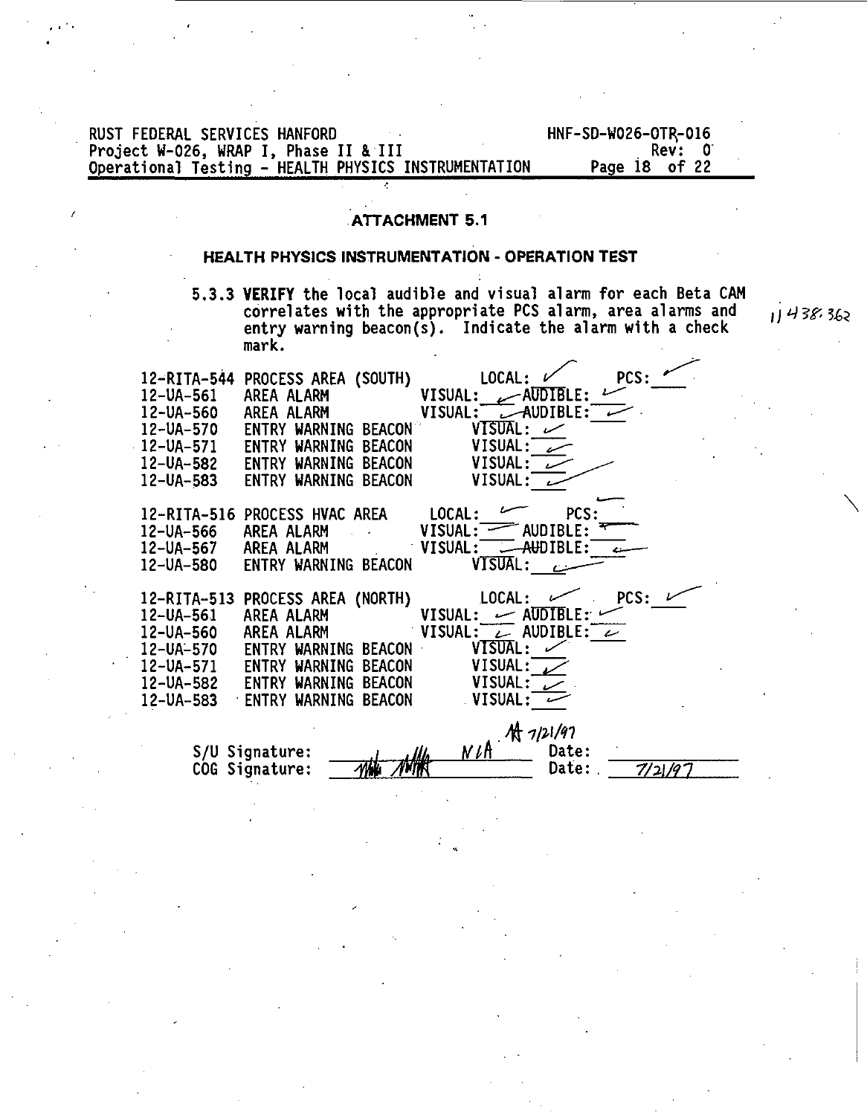RUST FEDERAL SERVICES HANFORD<br>Project W-026, WRAP I, Phase II & III **And III Access (Service Contra)** Rev: 01 **Project W-026, WRAP I , Phase I I & II I Rev: 0 Operational Testing - HEALTH PHYSICS INSTRUMENTATION** 

### **ATTACHMENT 5.1**

### **HEALTH PHYSICS INSTRUMENTATION - OPERATION TEST**

**5.3.3 VERIFY the local audible and visual alarm for each Beta CAM correlates with the appropriate PCS alarm, area alarms and entry warning beacon(s). Indicate the alarm with a check mark.**



11438.362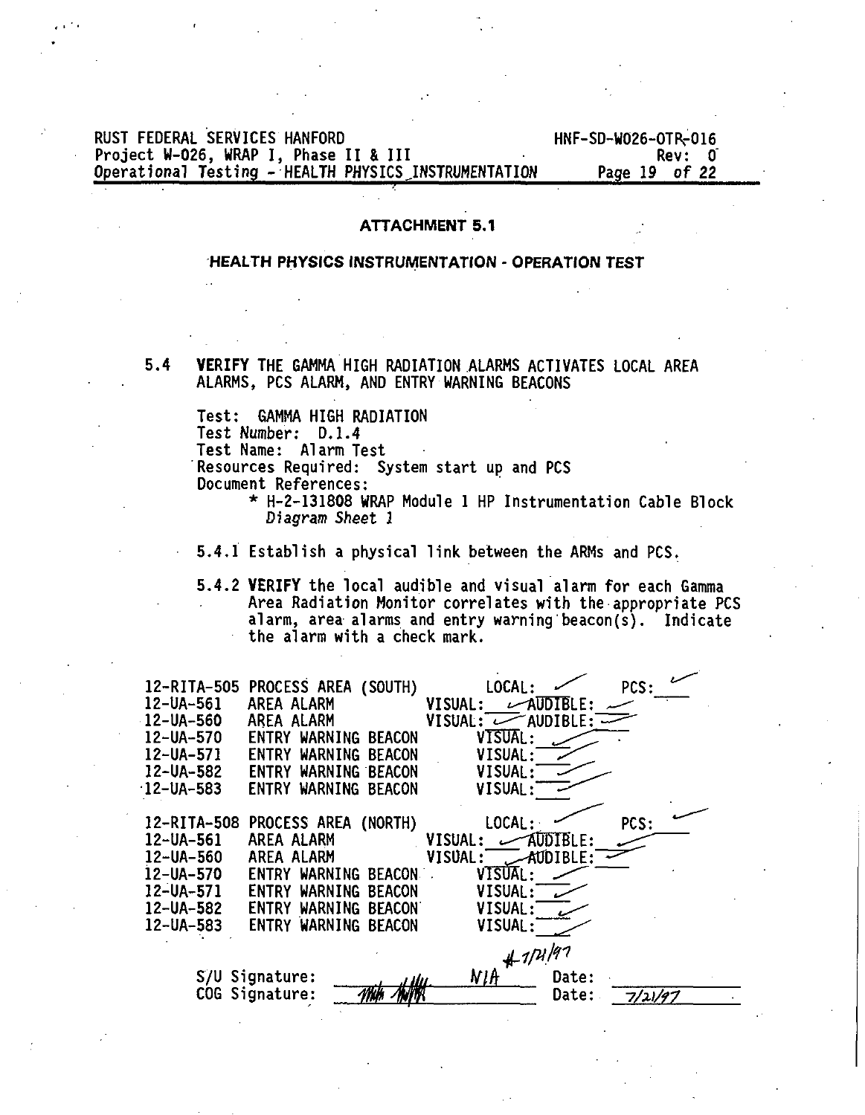### RUST FEDERAL SERVICES HANFORD<br>Project W-026, WRAP I, Phase II & III And Marchan Hall Rev: 0 Project W-O26, WRAP I , Phase I I & II I Rev: 0 Operational Testing - HEALTH PHYSICS INSTRUMENTATION

### **ATTACHMENT 5.1**

### **HEALTH PHYSICS** INSTRUMENTATION **- OPERATION** TEST

**5 .4 VERIFY** THE GAMMA HIGH RADIATION ALARMS ACTIVATES LOCAL AREA ALARMS, PCS ALARM, AND ENTRY WARNING BEACONS

Test: GAMMA HIGH RADIATION

Test Number: D.1.4

**Test Name: Alarm Test**

**Resources Required: System start up and PCS Document References:**

> **\* H-2-131808 WRAP Module 1 HP Instrumentation Cable Block Diagram Sheet 1**

**5.4.1 Establish a physical link between the ARMs and PCS.**

**5.4.2 VERIFY the local audible and visual alarm for each Gamma Area Radiation Monitor correlates with the appropriate PCS alarm, area alarms and entry warning beacon(s). Indicate the alarm with a check mark.**

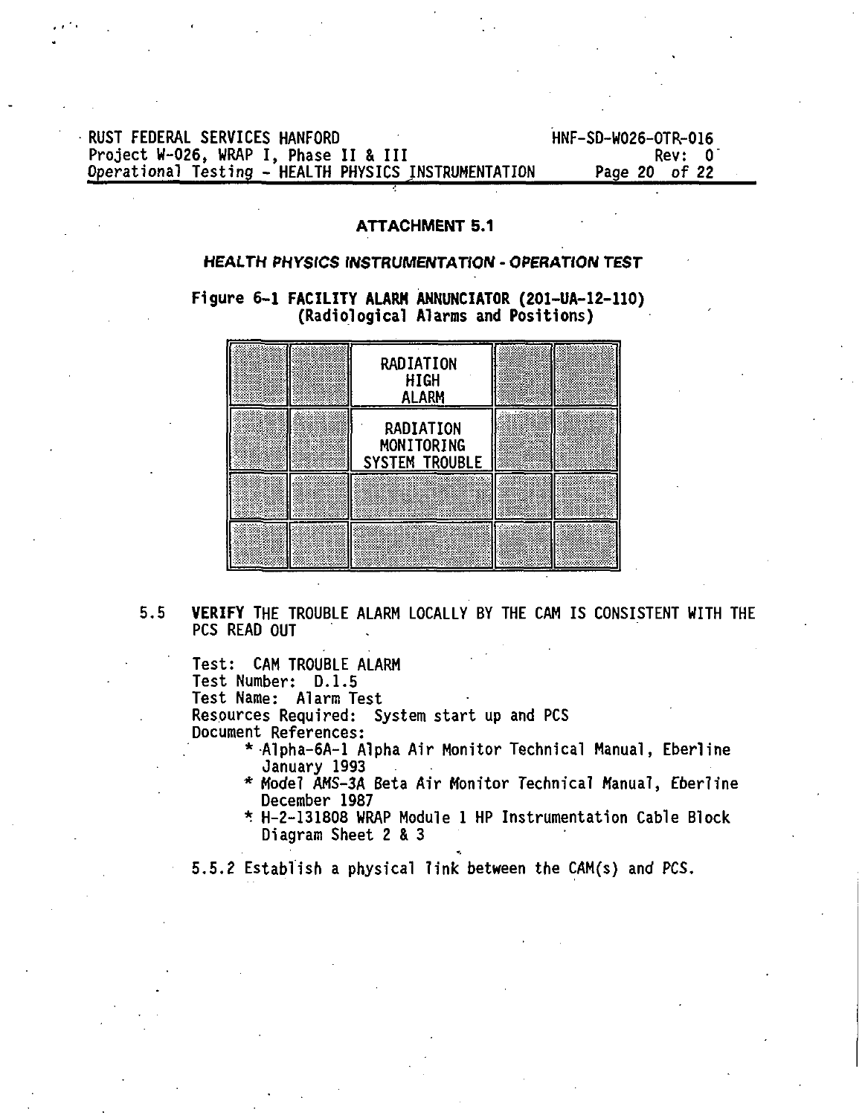RUST FEDERAL SERVICES HANFORD<br>Project W-026, WRAP I, Phase II & III Canada HRF-SD-W026-OTR-016 Project W-O2<mark>6, WRAP I, Phase II & III</mark> III (Project W-O26, WRAP I, Phase II & III<br>Operational Testing - HEALTH PHYSICS INSTRUMENTATION Page 20 of 22 Operational Testing - HEALTH PHYSICS INSTRUMENTATION

### **ATTACHMENT 5.1**

### **HEALTH PHYSICS INSTRUMENTATION - OPERATION TEST**

**Figure 6-1 FACILITY ALARM ANNUNCIATOR (201-UA-12-110) (Radiological Alarms and Positions)**



**5.5 VERIFY** THE TROUBLE ALARM LOCALLY BY THE CAM IS CONSISTENT WITH THE PCS READ OUT

Test: CAM TROUBLE ALARM Test Number: D.I.5 Test Name: Alarm Test Resources Required: System start up and PCS Document References:

- \* Alpha-6A-1 Alpha Air Monitor Technical Manual, Eberline January 1993
- \* Model AMS-3A Beta Air Monitor Technical Manual, Eberline December 1987
- \* H-2-131808 WRAP Module 1 HP Instrumentation Cable Block Diagram Sheet 2 & 3

5.5.2 Establish a physical link between the CAM(s) and PCS.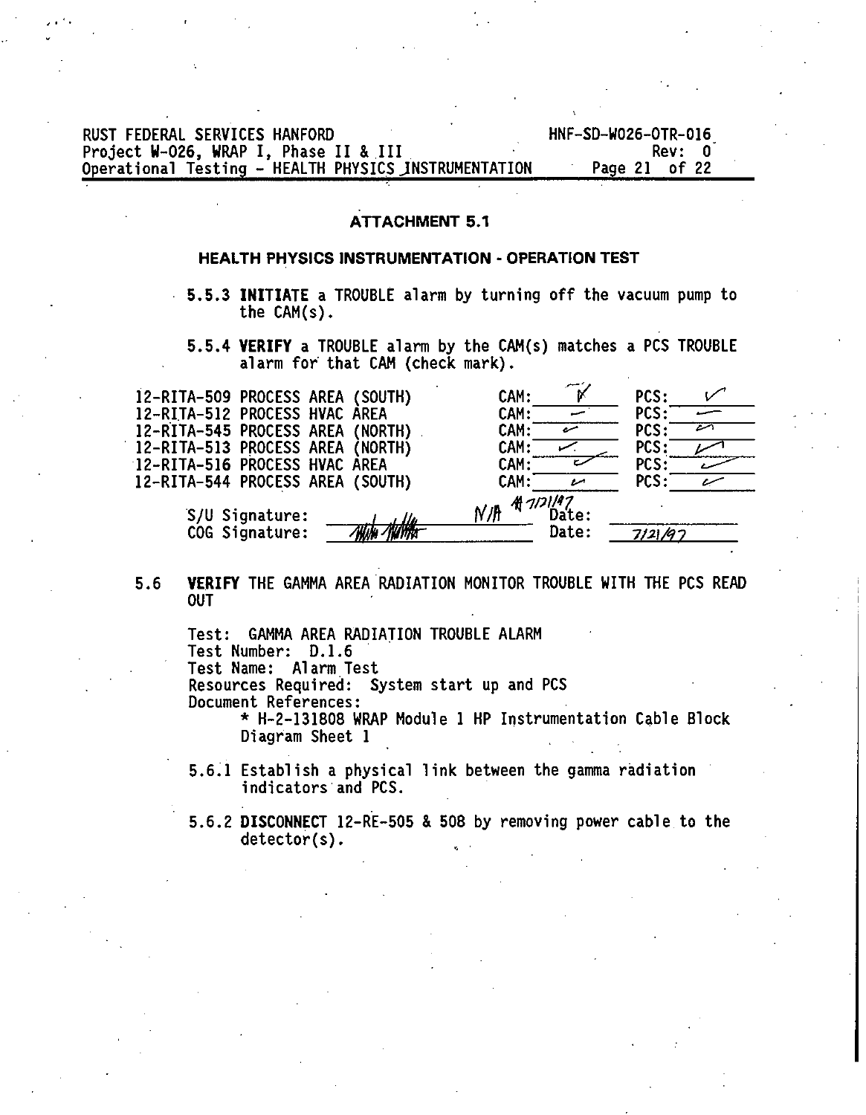RUST FEDERAL SERVICES HANFORD<br>Project W-026. WRAP I. Phase II & III Carries Marchael Rev: 0 Project W-026, WRAP I, Phase II & III<br>
Operational Testing - HEALTH PHYSICS INSTRUMENTATION Page 21 of 22 Operational Testing - HEALTH PHYSICS INSTRUMENTATION

### **ATTACHMENT 5.1**

### **HEALTH PHYSICS INSTRUMENTATION** - **OPERATION TEST**

- 5.5.3 **INITIATE** a TROUBLE alarm by turning off the vacuum pump to the CAM(s).
	- **5.5.4 VERIFY** a TROUBLE alarm by the CAM(s) matches a PCS TROUBLE alarm for that CAM (check mark).

| 12-RITA-509 PROCESS AREA (SOUTH)                                                | CAM:                               | PCS:        |  |
|---------------------------------------------------------------------------------|------------------------------------|-------------|--|
| 12-RITA-512 PROCESS HVAC AREA                                                   | CAM:                               | <b>PCS:</b> |  |
| 12-RITA-545 PROCESS AREA (NORTH)                                                | CAM:<br>سرہ                        | <b>PCS:</b> |  |
| 12-RITA-513 PROCESS AREA (NORTH)                                                | CAM:                               | PCS:        |  |
| 12-RITA-516 PROCESS HVAC AREA                                                   | CAM:                               | PCS:        |  |
| 12-RITA-544 PROCESS AREA (SOUTH)                                                | CAM:                               | <b>PCS:</b> |  |
| S/U Signature:<br>s Ila<br>www. <i>Milli</i> ffa <del>r</del><br>COG Signature: | 4 1121197<br>N/H<br>Date:<br>Date: | 7121/97     |  |

5.6 **VERIFY** THE GAMMA AREA RADIATION MONITOR TROUBLE WITH THE PCS READ OUT

Test: GAMMA AREA RADIATION TROUBLE ALARM **Test Number: D.I. 6** Test Name: Alarm Test Resources Required: System start up and PCS Document References: \* H-2-131808 WRAP Module 1 HP Instrumentation Cable Block

Diagram Sheet 1

- 5.6.1 Establish a physical link between the gamma radiation indicators and PCS.
- 5.6.2 **DISCONNECT** 12-RE-505 & 508 by removing power cable to the detector(s).